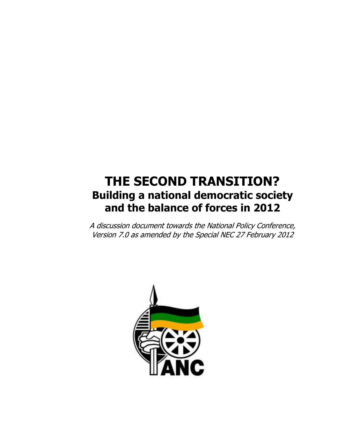# **THE SECOND TRANSITION? Building a national democratic society and the balance of forces in 2012**

A discussion document towards the National Policy Conference, Version 7.0 as amended by the Special NEC 27 February 2012

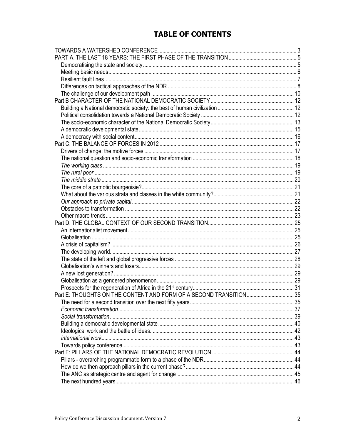# **TABLE OF CONTENTS**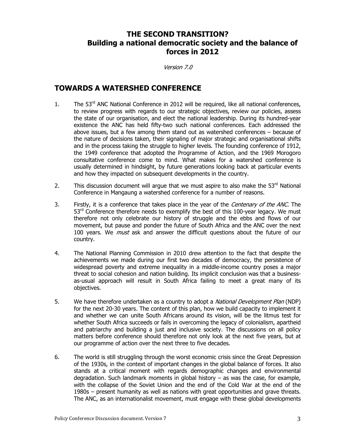# **THE SECOND TRANSITION? Building a national democratic society and the balance of forces in 2012**

Version 7.0

### **TOWARDS A WATERSHED CONFERENCE**

- 1. The 53<sup>rd</sup> ANC National Conference in 2012 will be required, like all national conferences, to review progress with regards to our strategic objectives, review our policies, assess the state of our organisation, and elect the national leadership. During its hundred-year existence the ANC has held fifty-two such national conferences. Each addressed the above issues, but a few among them stand out as watershed conferences – because of the nature of decisions taken, their signaling of major strategic and organisational shifts and in the process taking the struggle to higher levels. The founding conference of 1912, the 1949 conference that adopted the Programme of Action, and the 1969 Morogoro consultative conference come to mind. What makes for a watershed conference is usually determined in hindsight, by future generations looking back at particular events and how they impacted on subsequent developments in the country.
- 2. This discussion document will argue that we must aspire to also make the  $53<sup>rd</sup>$  National Conference in Mangaung a watershed conference for a number of reasons.
- 3. Firstly, it is a conference that takes place in the year of the Centenary of the ANC. The 53<sup>rd</sup> Conference therefore needs to exemplify the best of this 100-year legacy. We must therefore not only celebrate our history of struggle and the ebbs and flows of our movement, but pause and ponder the future of South Africa and the ANC over the next 100 years. We *must* ask and answer the difficult questions about the future of our country.
- 4. The National Planning Commission in 2010 drew attention to the fact that despite the achievements we made during our first two decades of democracy, the persistence of widespread poverty and extreme inequality in a middle-income country poses a major threat to social cohesion and nation building. Its implicit conclusion was that a businessas-usual approach will result in South Africa failing to meet a great many of its objectives.
- 5. We have therefore undertaken as a country to adopt a *National Development Plan* (NDP) for the next 20-30 years. The content of this plan, how we build capacity to implement it and whether we can unite South Africans around its vision, will be the litmus test for whether South Africa succeeds or fails in overcoming the legacy of colonialism, apartheid and patriarchy and building a just and inclusive society. The discussions on all policy matters before conference should therefore not only look at the next five years, but at our programme of action over the next three to five decades.
- 6. The world is still struggling through the worst economic crisis since the Great Depression of the 1930s, in the context of important changes in the global balance of forces. It also stands at a critical moment with regards demographic changes and environmental degradation. Such landmark moments in global history – as was the case, for example, with the collapse of the Soviet Union and the end of the Cold War at the end of the 1980s – present humanity as well as nations with great opportunities and grave threats. The ANC, as an internationalist movement, must engage with these global developments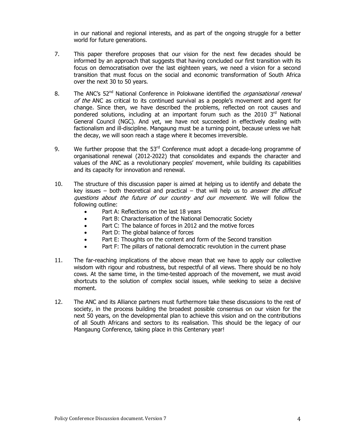in our national and regional interests, and as part of the ongoing struggle for a better world for future generations.

- 7. This paper therefore proposes that our vision for the next few decades should be informed by an approach that suggests that having concluded our first transition with its focus on democratisation over the last eighteen years, we need a vision for a second transition that must focus on the social and economic transformation of South Africa over the next 30 to 50 years.
- 8. The ANC's  $52<sup>nd</sup>$  National Conference in Polokwane identified the *organisational renewal* of the ANC as critical to its continued survival as a people's movement and agent for change. Since then, we have described the problems, reflected on root causes and pondered solutions, including at an important forum such as the 2010  $3<sup>rd</sup>$  National General Council (NGC). And yet, we have not succeeded in effectively dealing with factionalism and ill-discipline. Mangaung must be a turning point, because unless we halt the decay, we will soon reach a stage where it becomes irreversible.
- 9. We further propose that the  $53<sup>rd</sup>$  Conference must adopt a decade-long programme of organisational renewal (2012-2022) that consolidates and expands the character and values of the ANC as a revolutionary peoples' movement, while building its capabilities and its capacity for innovation and renewal.
- 10. The structure of this discussion paper is aimed at helping us to identify and debate the key issues – both theoretical and practical – that will help us to *answer the difficult* questions about the future of our country and our movement. We will follow the following outline:
	- Part A: Reflections on the last 18 years
	- Part B: Characterisation of the National Democratic Society
	- Part C: The balance of forces in 2012 and the motive forces
	- Part D: The global balance of forces
	- Part E: Thoughts on the content and form of the Second transition
	- Part F: The pillars of national democratic revolution in the current phase
- 11. The far-reaching implications of the above mean that we have to apply our collective wisdom with rigour and robustness, but respectful of all views. There should be no holy cows. At the same time, in the time-tested approach of the movement, we must avoid shortcuts to the solution of complex social issues, while seeking to seize a decisive moment.
- 12. The ANC and its Alliance partners must furthermore take these discussions to the rest of society, in the process building the broadest possible consensus on our vision for the next 50 years, on the developmental plan to achieve this vision and on the contributions of all South Africans and sectors to its realisation. This should be the legacy of our Mangaung Conference, taking place in this Centenary year!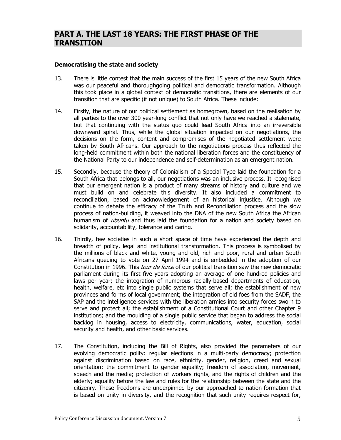#### **Democratising the state and society**

- 13. There is little contest that the main success of the first 15 years of the new South Africa was our peaceful and thoroughgoing political and democratic transformation. Although this took place in a global context of democratic transitions, there are elements of our transition that are specific (if not unique) to South Africa. These include:
- 14. Firstly, the nature of our political settlement as homegrown, based on the realisation by all parties to the over 300 year-long conflict that not only have we reached a stalemate, but that continuing with the status quo could lead South Africa into an irreversible downward spiral. Thus, while the global situation impacted on our negotiations, the decisions on the form, content and compromises of the negotiated settlement were taken by South Africans. Our approach to the negotiations process thus reflected the long-held commitment within both the national liberation forces and the constituency of the National Party to our independence and self-determination as an emergent nation.
- 15. Secondly, because the theory of Colonialism of a Special Type laid the foundation for a South Africa that belongs to all, our negotiations was an inclusive process. It recognised that our emergent nation is a product of many streams of history and culture and we must build on and celebrate this diversity. It also included a commitment to reconciliation, based on acknowledgement of an historical injustice. Although we continue to debate the efficacy of the Truth and Reconciliation process and the slow process of nation-building, it weaved into the DNA of the new South Africa the African humanism of *ubuntu* and thus laid the foundation for a nation and society based on solidarity, accountability, tolerance and caring.
- 16. Thirdly, few societies in such a short space of time have experienced the depth and breadth of policy, legal and institutional transformation. This process is symbolised by the millions of black and white, young and old, rich and poor, rural and urban South Africans queuing to vote on 27 April 1994 and is embedded in the adoption of our Constitution in 1996. This *tour de force* of our political transition saw the new democratic parliament during its first five years adopting an average of one hundred policies and laws per year; the integration of numerous racially-based departments of education, health, welfare, etc into single public systems that serve all; the establishment of new provinces and forms of local government; the integration of old foes from the SADF, the SAP and the intelligence services with the liberation armies into security forces sworn to serve and protect all; the establishment of a Constitutional Court and other Chapter 9 institutions; and the moulding of a single public service that began to address the social backlog in housing, access to electricity, communications, water, education, social security and health, and other basic services.
- 17. The Constitution, including the Bill of Rights, also provided the parameters of our evolving democratic polity: regular elections in a multi-party democracy; protection against discrimination based on race, ethnicity, gender, religion, creed and sexual orientation; the commitment to gender equality; freedom of association, movement, speech and the media; protection of workers rights, and the rights of children and the elderly; equality before the law and rules for the relationship between the state and the citizenry. These freedoms are underpinned by our approached to nation-formation that is based on unity in diversity, and the recognition that such unity requires respect for,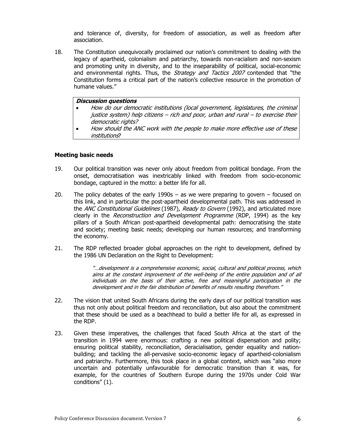and tolerance of, diversity, for freedom of association, as well as freedom after association.

18. The Constitution unequivocally proclaimed our nation's commitment to dealing with the legacy of apartheid, colonialism and patriarchy, towards non-racialism and non-sexism and promoting unity in diversity, and to the inseparability of political, social-economic and environmental rights. Thus, the *Strategy and Tactics 2007* contended that "the Constitution forms a critical part of the nation's collective resource in the promotion of humane values."

#### **Discussion questions**

- How do our democratic institutions (local government, legislatures, the criminal justice system) help citizens – rich and poor, urban and rural – to exercise their democratic rights?
- How should the ANC work with the people to make more effective use of these institutions?

#### **Meeting basic needs**

- 19. Our political transition was never only about freedom from political bondage. From the onset, democratisation was inextricably linked with freedom from socio-economic bondage, captured in the motto: a better life for all.
- 20. The policy debates of the early 1990s as we were preparing to govern focused on this link, and in particular the post-apartheid developmental path. This was addressed in the ANC Constitutional Guidelines (1987), Ready to Govern (1992), and articulated more clearly in the *Reconstruction and Development Programme* (RDP, 1994) as the key pillars of a South African post-apartheid developmental path: democratising the state and society; meeting basic needs; developing our human resources; and transforming the economy.
- 21. The RDP reflected broader global approaches on the right to development, defined by the 1986 UN Declaration on the Right to Development:

"…development is a comprehensive economic, social, cultural and political process, which aims at the constant improvement of the well-being of the entire population and of all individuals on the basis of their active, free and meaningful participation in the development and in the fair distribution of benefits of results resulting therefrom."

- 22. The vision that united South Africans during the early days of our political transition was thus not only about political freedom and reconciliation, but also about the commitment that these should be used as a beachhead to build a better life for all, as expressed in the RDP.
- 23. Given these imperatives, the challenges that faced South Africa at the start of the transition in 1994 were enormous: crafting a new political dispensation and polity; ensuring political stability, reconciliation, deracialisation, gender equality and nationbuilding; and tackling the all-pervasive socio-economic legacy of apartheid-colonialism and patriarchy. Furthermore, this took place in a global context, which was "also more uncertain and potentially unfavourable for democratic transition than it was, for example, for the countries of Southern Europe during the 1970s under Cold War conditions" (1).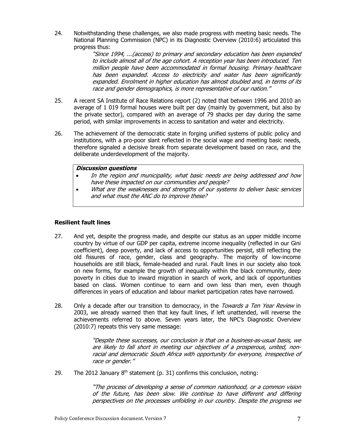24. Notwithstanding these challenges, we also made progress with meeting basic needs. The National Planning Commission (NPC) in its Diagnostic Overview (2010:6) articulated this progress thus:

> "Since 1994, ...(access) to primary and secondary education has been expanded to include almost all of the age cohort. A reception year has been introduced. Ten million people have been accommodated in formal housing. Primary healthcare has been expanded. Access to electricity and water has been significantly expanded. Enrolment in higher education has almost doubled and, in terms of its race and gender demographics, is more representative of our nation."

- 25. A recent SA Institute of Race Relations report (2) noted that between 1996 and 2010 an average of 1 019 formal houses were built per day (mainly by government, but also by the private sector), compared with an average of 79 shacks per day during the same period, with similar improvements in access to sanitation and water and electricity.
- 26. The achievement of the democratic state in forging unified systems of public policy and institutions, with a pro-poor slant reflected in the social wage and meeting basic needs, therefore signaled a decisive break from separate development based on race, and the deliberate underdevelopment of the majority.

#### **Discussion questions**

- In the region and municipality, what basic needs are being addressed and how have these impacted on our communities and people?
- What are the weaknesses and strengths of our systems to deliver basic services and what must the ANC do to improve these?

#### **Resilient fault lines**

- 27. And yet, despite the progress made, and despite our status as an upper middle income country by virtue of our GDP per capita, extreme income inequality (reflected in our Gini coefficient), deep poverty, and lack of access to opportunities persist, still reflecting the old fissures of race, gender, class and geography. The majority of low-income households are still black, female-headed and rural. Fault lines in our society also took on new forms, for example the growth of inequality within the black community, deep poverty in cities due to inward migration in search of work, and lack of opportunities based on class. Women continue to earn and own less than men, even though differences in years of education and labour market participation rates have narrowed.
- 28. Only a decade after our transition to democracy, in the Towards a Ten Year Review in 2003, we already warned then that key fault lines, if left unattended, will reverse the achievements referred to above. Seven years later, the NPC's Diagnostic Overview (2010:7) repeats this very same message:

"Despite these successes, our conclusion is that on a business-as-usual basis, we are likely to fall short in meeting our objectives of a prosperous, united, nonracial and democratic South Africa with opportunity for everyone, irrespective of race or gender."

29. The 2012 January  $8<sup>th</sup>$  statement (p. 31) confirms this conclusion, noting:

"The process of developing a sense of common nationhood, or a common vision of the future, has been slow. We continue to have different and differing perspectives on the processes unfolding in our country. Despite the progress we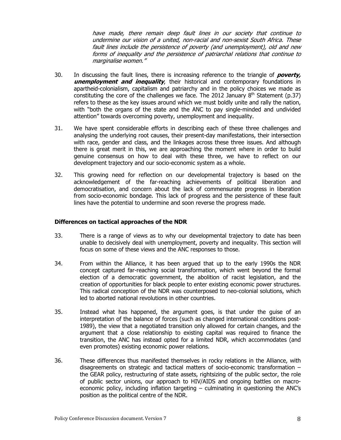have made, there remain deep fault lines in our society that continue to undermine our vision of a united, non-racial and non-sexist South Africa. These fault lines include the persistence of poverty (and unemployment), old and new forms of inequality and the persistence of patriarchal relations that continue to marginalise women."

- 30. In discussing the fault lines, there is increasing reference to the triangle of **poverty, unemployment and inequality**, their historical and contemporary foundations in apartheid-colonialism, capitalism and patriarchy and in the policy choices we made as constituting the core of the challenges we face. The 2012 January  $8<sup>th</sup>$  Statement (p.37) refers to these as the key issues around which we must boldly unite and rally the nation, with "both the organs of the state and the ANC to pay single-minded and undivided attention" towards overcoming poverty, unemployment and inequality.
- 31. We have spent considerable efforts in describing each of these three challenges and analysing the underlying root causes, their present-day manifestations, their intersection with race, gender and class, and the linkages across these three issues. And although there is great merit in this, we are approaching the moment where in order to build genuine consensus on how to deal with these three, we have to reflect on our development trajectory and our socio-economic system as a whole.
- 32. This growing need for reflection on our developmental trajectory is based on the acknowledgement of the far-reaching achievements of political liberation and democratisation, and concern about the lack of commensurate progress in liberation from socio-economic bondage. This lack of progress and the persistence of these fault lines have the potential to undermine and soon reverse the progress made.

#### **Differences on tactical approaches of the NDR**

- 33. There is a range of views as to why our developmental trajectory to date has been unable to decisively deal with unemployment, poverty and inequality. This section will focus on some of these views and the ANC responses to those.
- 34. From within the Alliance, it has been argued that up to the early 1990s the NDR concept captured far-reaching social transformation, which went beyond the formal election of a democratic government, the abolition of racist legislation, and the creation of opportunities for black people to enter existing economic power structures. This radical conception of the NDR was counterposed to neo-colonial solutions, which led to aborted national revolutions in other countries.
- 35. Instead what has happened, the argument goes, is that under the guise of an interpretation of the balance of forces (such as changed international conditions post-1989), the view that a negotiated transition only allowed for certain changes, and the argument that a close relationship to existing capital was required to finance the transition, the ANC has instead opted for a limited NDR, which accommodates (and even promotes) existing economic power relations.
- 36. These differences thus manifested themselves in rocky relations in the Alliance, with disagreements on strategic and tactical matters of socio-economic transformation – the GEAR policy, restructuring of state assets, rightsizing of the public sector, the role of public sector unions, our approach to HIV/AIDS and ongoing battles on macroeconomic policy, including inflation targeting – culminating in questioning the ANC's position as the political centre of the NDR.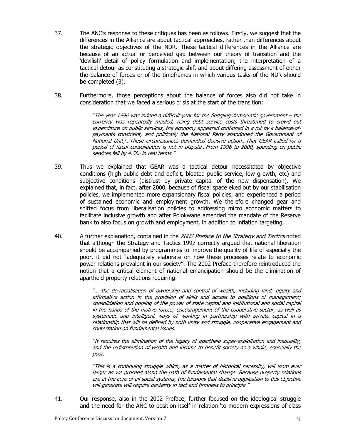- 37. The ANC's response to these critiques has been as follows. Firstly, we suggest that the differences in the Alliance are about tactical approaches, rather than differences about the strategic objectives of the NDR. These tactical differences in the Alliance are because of an actual or perceived gap between our theory of transition and the 'devilish' detail of policy formulation and implementation; the interpretation of a tactical detour as constituting a strategic shift and about differing assessment of either the balance of forces or of the timeframes in which various tasks of the NDR should be completed (3).
- 38. Furthermore, those perceptions about the balance of forces also did not take in consideration that we faced a serious crisis at the start of the transition:

"The year 1996 was indeed a difficult year for the fledgling democratic government – the currency was repeatedly mauled, rising debt service costs threatened to crowd out expenditure on public services, the economy appeared contained in a rut by a balance-ofpayments constraint, and politically the National Party abandoned the Government of National Unity…These circumstances demanded decisive action…That GEAR called for a period of fiscal consolidation is not in dispute…From 1996 to 2000, spending on public services fell by 4.5% in real terms."

- 39. Thus we explained that GEAR was a tactical detour necessitated by objective conditions (high public debt and deficit, bloated public service, low growth, etc) and subjective conditions (distrust by private capital of the new dispensation). We explained that, in fact, after 2000, because of fiscal space eked out by our stabilisation policies, we implemented more expansionary fiscal policies, and experienced a period of sustained economic and employment growth. We therefore changed gear and shifted focus from liberalisation policies to addressing micro economic matters to facilitate inclusive growth and after Polokwane amended the mandate of the Reserve bank to also focus on growth and employment, in addition to inflation targeting.
- 40. A further explanation, contained in the 2002 Preface to the Strategy and Tactics noted that although the Strategy and Tactics 1997 correctly argued that national liberation should be accompanied by programmes to improve the quality of life of especially the poor, it did not "adequately elaborate on how these processes relate to economic power relations prevalent in our society". The 2002 Preface therefore reintroduced the notion that a critical element of national emancipation should be the elimination of apartheid property relations requiring:

"… the de-racialisation of ownership and control of wealth, including land; equity and affirmative action in the provision of skills and access to positions of management; consolidation and pooling of the power of state capital and institutional and social capital in the hands of the motive forces; encouragement of the cooperative sector; as well as systematic and intelligent ways of working in partnership with private capital in a relationship that will be defined by both unity and struggle, cooperative engagement and contestation on fundamental issues.

"It requires the elimination of the legacy of apartheid super-exploitation and inequality, and the redistribution of wealth and income to benefit society as a whole, especially the poor.

"This is a continuing struggle which, as a matter of historical necessity, will loom ever larger as we proceed along the path of fundamental change. Because property relations are at the core of all social systems, the tensions that decisive application to this objective will generate will require dexterity in tact and firmness to principle."

41. Our response, also in the 2002 Preface, further focused on the ideological struggle and the need for the ANC to position itself in relation 'to modern expressions of class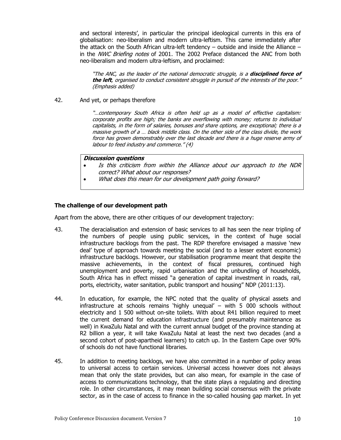and sectoral interests', in particular the principal ideological currents in this era of globalisation: neo-liberalism and modern ultra-leftism. This came immediately after the attack on the South African ultra-left tendency – outside and inside the Alliance – in the *NWC Briefing notes* of 2001. The 2002 Preface distanced the ANC from both neo-liberalism and modern ultra-leftism, and proclaimed:

"The ANC, as the leader of the national democratic struggle, is a **disciplined force of the left**, organised to conduct consistent struggle in pursuit of the interests of the poor." (Emphasis added)

42. And yet, or perhaps therefore

"…contemporary South Africa is often held up as a model of effective capitalism: corporate profits are high; the banks are overflowing with money; returns to individual capitalists, in the form of salaries, bonuses and share options, are exceptional; there is a massive growth of a … black middle class. On the other side of the class divide, the work force has grown demonstrably over the last decade and there is a huge reserve army of labour to feed industry and commerce." (4)

#### **Discussion questions**

- Is this criticism from within the Alliance about our approach to the NDR correct? What about our responses?
- What does this mean for our development path going forward?

#### **The challenge of our development path**

Apart from the above, there are other critiques of our development trajectory:

- 43. The deracialisation and extension of basic services to all has seen the near tripling of the numbers of people using public services, in the context of huge social infrastructure backlogs from the past. The RDP therefore envisaged a massive 'new deal' type of approach towards meeting the social (and to a lesser extent economic) infrastructure backlogs. However, our stabilisation programme meant that despite the massive achievements, in the context of fiscal pressures, continued high unemployment and poverty, rapid urbanisation and the unbundling of households, South Africa has in effect missed "a generation of capital investment in roads, rail, ports, electricity, water sanitation, public transport and housing" NDP (2011:13).
- 44. In education, for example, the NPC noted that the quality of physical assets and infrastructure at schools remains 'highly unequal' – with 5 000 schools without electricity and 1 500 without on-site toilets. With about R41 billion required to meet the current demand for education infrastructure (and presumably maintenance as well) in KwaZulu Natal and with the current annual budget of the province standing at R2 billion a year, it will take KwaZulu Natal at least the next two decades (and a second cohort of post-apartheid learners) to catch up. In the Eastern Cape over 90% of schools do not have functional libraries.
- 45. In addition to meeting backlogs, we have also committed in a number of policy areas to universal access to certain services. Universal access however does not always mean that only the state provides, but can also mean, for example in the case of access to communications technology, that the state plays a regulating and directing role. In other circumstances, it may mean building social consensus with the private sector, as in the case of access to finance in the so-called housing gap market. In yet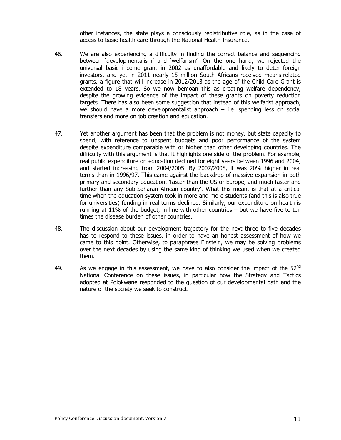other instances, the state plays a consciously redistributive role, as in the case of access to basic health care through the National Health Insurance.

- 46. We are also experiencing a difficulty in finding the correct balance and sequencing between 'developmentalism' and 'welfarism'. On the one hand, we rejected the universal basic income grant in 2002 as unaffordable and likely to deter foreign investors, and yet in 2011 nearly 15 million South Africans received means-related grants, a figure that will increase in 2012/2013 as the age of the Child Care Grant is extended to 18 years. So we now bemoan this as creating welfare dependency, despite the growing evidence of the impact of these grants on poverty reduction targets. There has also been some suggestion that instead of this welfarist approach, we should have a more developmentalist approach  $-$  i.e. spending less on social transfers and more on job creation and education.
- 47. Yet another argument has been that the problem is not money, but state capacity to spend, with reference to unspent budgets and poor performance of the system despite expenditure comparable with or higher than other developing countries. The difficulty with this argument is that it highlights one side of the problem. For example, real public expenditure on education declined for eight years between 1996 and 2004, and started increasing from 2004/2005. By 2007/2008, it was 20% higher in real terms than in 1996/97. This came against the backdrop of massive expansion in both primary and secondary education, 'faster than the US or Europe, and much faster and further than any Sub-Saharan African country'. What this meant is that at a critical time when the education system took in more and more students (and this is also true for universities) funding in real terms declined. Similarly, our expenditure on health is running at 11% of the budget, in line with other countries – but we have five to ten times the disease burden of other countries.
- 48. The discussion about our development trajectory for the next three to five decades has to respond to these issues, in order to have an honest assessment of how we came to this point. Otherwise, to paraphrase Einstein, we may be solving problems over the next decades by using the same kind of thinking we used when we created them.
- 49. As we engage in this assessment, we have to also consider the impact of the  $52<sup>nd</sup>$ National Conference on these issues, in particular how the Strategy and Tactics adopted at Polokwane responded to the question of our developmental path and the nature of the society we seek to construct.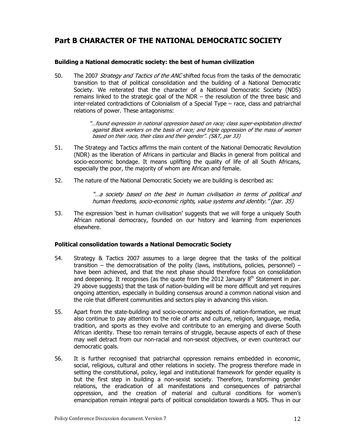# **Part B CHARACTER OF THE NATIONAL DEMOCRATIC SOCIETY**

#### **Building a National democratic society: the best of human civilization**

50. The 2007 Strategy and Tactics of the ANC shifted focus from the tasks of the democratic transition to that of political consolidation and the building of a National Democratic Society. We reiterated that the character of a National Democratic Society (NDS) remains linked to the strategic goal of the NDR – the resolution of the three basic and inter-related contradictions of Colonialism of a Special Type – race, class and patriarchal relations of power. These antagonisms:

> "…found expression in national oppression based on race; class super-exploitation directed against Black workers on the basis of race; and triple oppression of the mass of women based on their race, their class and their gender". (S&T, par 33)

- 51. The Strategy and Tactics affirms the main content of the National Democratic Revolution (NDR) as the liberation of Africans in particular and Blacks in general from political and socio-economic bondage. It means uplifting the quality of life of all South Africans, especially the poor, the majority of whom are African and female.
- 52. The nature of the National Democratic Society we are building is described as:

"…a society based on the best in human civilisation in terms of political and human freedoms, socio-economic rights, value systems and identity." (par. 35)

53. The expression 'best in human civilisation' suggests that we will forge a uniquely South African national democracy, founded on our history and learning from experiences elsewhere.

#### **Political consolidation towards a National Democratic Society**

- 54. Strategy & Tactics 2007 assumes to a large degree that the tasks of the political transition – the democratisation of the polity (laws, institutions, policies, personnel) – have been achieved, and that the next phase should therefore focus on consolidation and deepening. It recognises (as the quote from the 2012 January  $8<sup>th</sup>$  Statement in par. 29 above suggests) that the task of nation-building will be more difficult and yet requires ongoing attention, especially in building consensus around a common national vision and the role that different communities and sectors play in advancing this vision.
- 55. Apart from the state-building and socio-economic aspects of nation-formation, we must also continue to pay attention to the role of arts and culture, religion, language, media, tradition, and sports as they evolve and contribute to an emerging and diverse South African identity. These too remain terrains of struggle, because aspects of each of these may well detract from our non-racial and non-sexist objectives, or even counteract our democratic goals.
- 56. It is further recognised that patriarchal oppression remains embedded in economic, social, religious, cultural and other relations in society. The progress therefore made in setting the constitutional, policy, legal and institutional framework for gender equality is but the first step in building a non-sexist society. Therefore, transforming gender relations, the eradication of all manifestations and consequences of patriarchal oppression, and the creation of material and cultural conditions for women's emancipation remain integral parts of political consolidation towards a NDS. Thus in our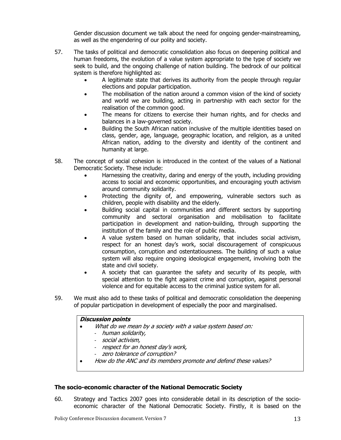Gender discussion document we talk about the need for ongoing gender-mainstreaming, as well as the engendering of our polity and society.

- 57. The tasks of political and democratic consolidation also focus on deepening political and human freedoms, the evolution of a value system appropriate to the type of society we seek to build, and the ongoing challenge of nation building. The bedrock of our political system is therefore highlighted as:
	- A legitimate state that derives its authority from the people through regular elections and popular participation.
	- The mobilisation of the nation around a common vision of the kind of society and world we are building, acting in partnership with each sector for the realisation of the common good.
	- The means for citizens to exercise their human rights, and for checks and balances in a law-governed society.
	- Building the South African nation inclusive of the multiple identities based on class, gender, age, language, geographic location, and religion, as a united African nation, adding to the diversity and identity of the continent and humanity at large.
- 58. The concept of social cohesion is introduced in the context of the values of a National Democratic Society. These include:
	- Harnessing the creativity, daring and energy of the youth, including providing access to social and economic opportunities, and encouraging youth activism around community solidarity.
	- Protecting the dignity of, and empowering, vulnerable sectors such as children, people with disability and the elderly.
	- Building social capital in communities and different sectors by supporting community and sectoral organisation and mobilisation to facilitate participation in development and nation-building, through supporting the institution of the family and the role of public media.
	- A value system based on human solidarity, that includes social activism, respect for an honest day's work, social discouragement of conspicuous consumption, corruption and ostentatiousness. The building of such a value system will also require ongoing ideological engagement, involving both the state and civil society.
	- A society that can guarantee the safety and security of its people, with special attention to the fight against crime and corruption, against personal violence and for equitable access to the criminal justice system for all.
- 59. We must also add to these tasks of political and democratic consolidation the deepening of popular participation in development of especially the poor and marginalised.

#### **Discussion points**

- What do we mean by a society with a value system based on:
	- human solidarity,
	- social activism,
	- respect for an honest day's work,
	- zero tolerance of corruption?
- How do the ANC and its members promote and defend these values?

#### **The socio-economic character of the National Democratic Society**

60. Strategy and Tactics 2007 goes into considerable detail in its description of the socioeconomic character of the National Democratic Society. Firstly, it is based on the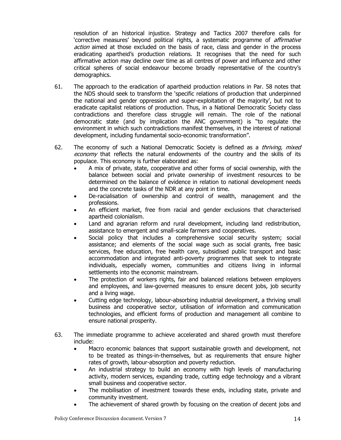resolution of an historical injustice. Strategy and Tactics 2007 therefore calls for 'corrective measures' beyond political rights, a systematic programme of affirmative action aimed at those excluded on the basis of race, class and gender in the process eradicating apartheid's production relations. It recognises that the need for such affirmative action may decline over time as all centres of power and influence and other critical spheres of social endeavour become broadly representative of the country's demographics.

- 61. The approach to the eradication of apartheid production relations in Par. 58 notes that the NDS should seek to transform the 'specific relations of production that underpinned the national and gender oppression and super-exploitation of the majority', but not to eradicate capitalist relations of production. Thus, in a National Democratic Society class contradictions and therefore class struggle will remain. The role of the national democratic state (and by implication the ANC government) is "to regulate the environment in which such contradictions manifest themselves, in the interest of national development, including fundamental socio-economic transformation".
- 62. The economy of such a National Democratic Society is defined as a *thriving, mixed* economy that reflects the natural endowments of the country and the skills of its populace. This economy is further elaborated as:
	- A mix of private, state, cooperative and other forms of social ownership, with the balance between social and private ownership of investment resources to be determined on the balance of evidence in relation to national development needs and the concrete tasks of the NDR at any point in time.
	- De-racialisation of ownership and control of wealth, management and the professions.
	- An efficient market, free from racial and gender exclusions that characterised apartheid colonialism.
	- Land and agrarian reform and rural development, including land redistribution, assistance to emergent and small-scale farmers and cooperatives.
	- Social policy that includes a comprehensive social security system; social assistance; and elements of the social wage such as social grants, free basic services, free education, free health care, subsidised public transport and basic accommodation and integrated anti-poverty programmes that seek to integrate individuals, especially women, communities and citizens living in informal settlements into the economic mainstream.
	- The protection of workers rights, fair and balanced relations between employers and employees, and law-governed measures to ensure decent jobs, job security and a living wage.
	- Cutting edge technology, labour-absorbing industrial development, a thriving small business and cooperative sector, utilisation of information and communication technologies, and efficient forms of production and management all combine to ensure national prosperity.
- 63. The immediate programme to achieve accelerated and shared growth must therefore include:
	- Macro economic balances that support sustainable growth and development, not to be treated as things-in-themselves, but as requirements that ensure higher rates of growth, labour-absorption and poverty reduction.
	- An industrial strategy to build an economy with high levels of manufacturing activity, modern services, expanding trade, cutting edge technology and a vibrant small business and cooperative sector.
	- The mobilisation of investment towards these ends, including state, private and community investment.
	- The achievement of shared growth by focusing on the creation of decent jobs and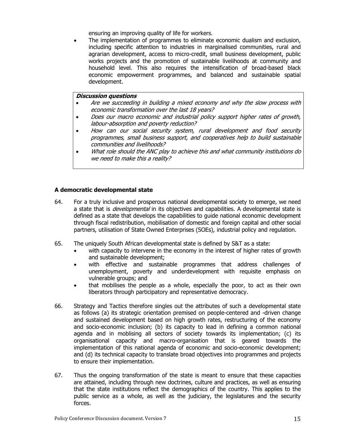ensuring an improving quality of life for workers.

• The implementation of programmes to eliminate economic dualism and exclusion, including specific attention to industries in marginalised communities, rural and agrarian development, access to micro-credit, small business development, public works projects and the promotion of sustainable livelihoods at community and household level. This also requires the intensification of broad-based black economic empowerment programmes, and balanced and sustainable spatial development.

#### **Discussion questions**

- Are we succeeding in building a mixed economy and why the slow process with economic transformation over the last 18 years?
- Does our macro economic and industrial policy support higher rates of growth, labour-absorption and poverty reduction?
- How can our social security system, rural development and food security programmes, small business support, and cooperatives help to build sustainable communities and livelihoods?
- What role should the ANC play to achieve this and what community institutions do we need to make this a reality?

#### **A democratic developmental state**

- 64. For a truly inclusive and prosperous national developmental society to emerge, we need a state that is *developmental* in its objectives and capabilities. A developmental state is defined as a state that develops the capabilities to guide national economic development through fiscal redistribution, mobilisation of domestic and foreign capital and other social partners, utilisation of State Owned Enterprises (SOEs), industrial policy and regulation.
- 65. The uniquely South African developmental state is defined by S&T as a state:
	- with capacity to intervene in the economy in the interest of higher rates of growth and sustainable development;
	- with effective and sustainable programmes that address challenges of unemployment, poverty and underdevelopment with requisite emphasis on vulnerable groups; and
	- that mobilises the people as a whole, especially the poor, to act as their own liberators through participatory and representative democracy.
- 66. Strategy and Tactics therefore singles out the attributes of such a developmental state as follows (a) its strategic orientation premised on people-centered and -driven change and sustained development based on high growth rates, restructuring of the economy and socio-economic inclusion; (b) its capacity to lead in defining a common national agenda and in moblising all sectors of society towards its implementation; (c) its organisational capacity and macro-organisation that is geared towards the implementation of this national agenda of economic and socio-economic development; and (d) its technical capacity to translate broad objectives into programmes and projects to ensure their implementation.
- 67. Thus the ongoing transformation of the state is meant to ensure that these capacities are attained, including through new doctrines, culture and practices, as well as ensuring that the state institutions reflect the demographics of the country. This applies to the public service as a whole, as well as the judiciary, the legislatures and the security forces.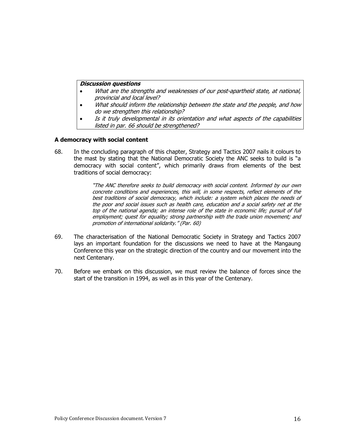#### **Discussion questions**

- What are the strengths and weaknesses of our post-apartheid state, at national, provincial and local level?
- What should inform the relationship between the state and the people, and how do we strengthen this relationship?
- Is it truly developmental in its orientation and what aspects of the capabilities listed in par. 66 should be strengthened?

#### **A democracy with social content**

68. In the concluding paragraph of this chapter, Strategy and Tactics 2007 nails it colours to the mast by stating that the National Democratic Society the ANC seeks to build is "a democracy with social content", which primarily draws from elements of the best traditions of social democracy:

> "The ANC therefore seeks to build democracy with social content. Informed by our own concrete conditions and experiences, this will, in some respects, reflect elements of the best traditions of social democracy, which include: a system which places the needs of the poor and social issues such as health care, education and a social safety net at the top of the national agenda; an intense role of the state in economic life; pursuit of full employment; quest for equality; strong partnership with the trade union movement; and promotion of international solidarity." (Par. 60)

- 69. The characterisation of the National Democratic Society in Strategy and Tactics 2007 lays an important foundation for the discussions we need to have at the Mangaung Conference this year on the strategic direction of the country and our movement into the next Centenary.
- 70. Before we embark on this discussion, we must review the balance of forces since the start of the transition in 1994, as well as in this year of the Centenary.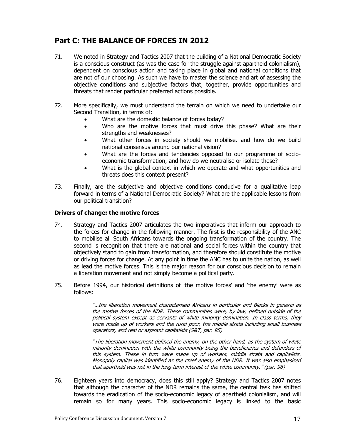# **Part C: THE BALANCE OF FORCES IN 2012**

- 71. We noted in Strategy and Tactics 2007 that the building of a National Democratic Society is a conscious construct (as was the case for the struggle against apartheid colonialism), dependent on conscious action and taking place in global and national conditions that are not of our choosing. As such we have to master the science and art of assessing the objective conditions and subjective factors that, together, provide opportunities and threats that render particular preferred actions possible.
- 72. More specifically, we must understand the terrain on which we need to undertake our Second Transition, in terms of:
	- What are the domestic balance of forces today?
	- Who are the motive forces that must drive this phase? What are their strengths and weaknesses?
	- What other forces in society should we mobilise, and how do we build national consensus around our national vision?
	- What are the forces and tendencies opposed to our programme of socioeconomic transformation, and how do we neutralise or isolate these?
	- What is the global context in which we operate and what opportunities and threats does this context present?
- 73. Finally, are the subjective and objective conditions conducive for a qualitative leap forward in terms of a National Democratic Society? What are the applicable lessons from our political transition?

#### **Drivers of change: the motive forces**

- 74. Strategy and Tactics 2007 articulates the two imperatives that inform our approach to the forces for change in the following manner. The first is the responsibility of the ANC to mobilise all South Africans towards the ongoing transformation of the country. The second is recognition that there are national and social forces within the country that objectively stand to gain from transformation, and therefore should constitute the motive or driving forces for change. At any point in time the ANC has to unite the nation, as well as lead the motive forces. This is the major reason for our conscious decision to remain a liberation movement and not simply become a political party.
- 75. Before 1994, our historical definitions of 'the motive forces' and 'the enemy' were as follows:

"…the liberation movement characterised Africans in particular and Blacks in general as the motive forces of the NDR. These communities were, by law, defined outside of the political system except as servants of white minority domination. In class terms, they were made up of workers and the rural poor, the middle strata including small business operators, and real or aspirant capitalists (S&T, par. 95)

"The liberation movement defined the enemy, on the other hand, as the system of white minority domination with the white community being the beneficiaries and defenders of this system. These in turn were made up of workers, middle strata and capitalists. Monopoly capital was identified as the chief enemy of the NDR. It was also emphasised that apartheid was not in the long-term interest of the white community." (par. 96)

76. Eighteen years into democracy, does this still apply? Strategy and Tactics 2007 notes that although the character of the NDR remains the same, the central task has shifted towards the eradication of the socio-economic legacy of apartheid colonialism, and will remain so for many years. This socio-economic legacy is linked to the basic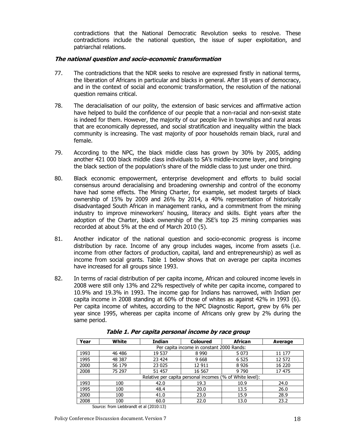contradictions that the National Democratic Revolution seeks to resolve. These contradictions include the national question, the issue of super exploitation, and patriarchal relations.

#### **The national question and socio-economic transformation**

- 77. The contradictions that the NDR seeks to resolve are expressed firstly in national terms, the liberation of Africans in particular and blacks in general. After 18 years of democracy, and in the context of social and economic transformation, the resolution of the national question remains critical.
- 78. The deracialisation of our polity, the extension of basic services and affirmative action have helped to build the confidence of our people that a non-racial and non-sexist state is indeed for them. However, the majority of our people live in townships and rural areas that are economically depressed, and social stratification and inequality within the black community is increasing. The vast majority of poor households remain black, rural and female.
- 79. According to the NPC, the black middle class has grown by 30% by 2005, adding another 421 000 black middle class individuals to SA's middle-income layer, and bringing the black section of the population's share of the middle class to just under one third.
- 80. Black economic empowerment, enterprise development and efforts to build social consensus around deracialising and broadening ownership and control of the economy have had some effects. The Mining Charter, for example, set modest targets of black ownership of 15% by 2009 and 26% by 2014, a 40% representation of historically disadvantaged South African in management ranks, and a commitment from the mining industry to improve mineworkers' housing, literacy and skills. Eight years after the adoption of the Charter, black ownership of the JSE's top 25 mining companies was recorded at about 5% at the end of March 2010 (5).
- 81. Another indicator of the national question and socio-economic progress is income distribution by race. Income of any group includes wages, income from assets (i.e. income from other factors of production, capital, land and entrepreneurship) as well as income from social grants. Table 1 below shows that on average per capita incomes have increased for all groups since 1993.
- 82. In terms of racial distribution of per capita income, African and coloured income levels in 2008 were still only 13% and 22% respectively of white per capita income, compared to 10.9% and 19.3% in 1993. The income gap for Indians has narrowed, with Indian per capita income in 2008 standing at 60% of those of whites as against 42% in 1993 (6). Per capita income of whites, according to the NPC Diagnostic Report, grew by 6% per year since 1995, whereas per capita income of Africans only grew by 2% during the same period.

| Year                                      | White                                                    | <b>Indian</b> | <b>Coloured</b> | <b>African</b> | Average |  |  |
|-------------------------------------------|----------------------------------------------------------|---------------|-----------------|----------------|---------|--|--|
| Per capita income in constant 2000 Rands: |                                                          |               |                 |                |         |  |  |
| 1993                                      | 46 486                                                   | 19 537        | 8 9 9 0         | 5 0 7 3        | 11 177  |  |  |
| 1995                                      | 48 387                                                   | 23 424        | 9668            | 6 5 2 5        | 12 572  |  |  |
| 2000                                      | 56 179                                                   | 23 0 25       | 12 911          | 8926           | 16 220  |  |  |
| 2008                                      | 75 297                                                   | 51 457        | 16 567          | 9790           | 17 475  |  |  |
|                                           | Relative per capita personal incomes (% of White level): |               |                 |                |         |  |  |
| 1993                                      | 100                                                      | 42.0          | 19.3            | 10.9           | 24.0    |  |  |
| 1995                                      | 100                                                      | 48.4          | 20.0            | 13.5           | 26.0    |  |  |
| 2000                                      | 100                                                      | 41.0          | 23.0            | 15.9           | 28.9    |  |  |
| 2008                                      | 100                                                      | 60.0          | 22.0            | 13.0           | 23.2    |  |  |

**Table 1. Per capita personal income by race group** 

Source: from Liebbrandt et al (2010:13)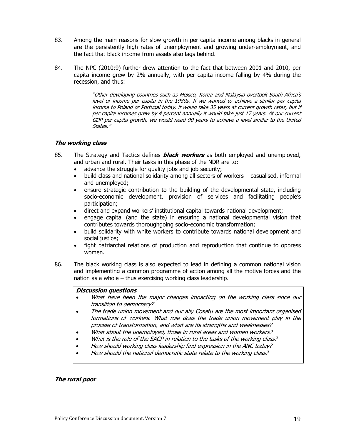- 83. Among the main reasons for slow growth in per capita income among blacks in general are the persistently high rates of unemployment and growing under-employment, and the fact that black income from assets also lags behind.
- 84. The NPC (2010:9) further drew attention to the fact that between 2001 and 2010, per capita income grew by 2% annually, with per capita income falling by 4% during the recession, and thus:

"Other developing countries such as Mexico, Korea and Malaysia overtook South Africa's level of income per capita in the 1980s. If we wanted to achieve a similar per capita income to Poland or Portugal today, it would take 35 years at current growth rates, but if per capita incomes grew by 4 percent annually it would take just 17 years. At our current GDP per capita growth, we would need 90 years to achieve a level similar to the United States."

#### **The working class**

- 85. The Strategy and Tactics defines **black workers** as both employed and unemployed, and urban and rural. Their tasks in this phase of the NDR are to:
	- advance the struggle for quality jobs and job security;
	- build class and national solidarity among all sectors of workers casualised, informal and unemployed;
	- ensure strategic contribution to the building of the developmental state, including socio-economic development, provision of services and facilitating people's participation;
	- direct and expand workers' institutional capital towards national development;
	- engage capital (and the state) in ensuring a national developmental vision that contributes towards thoroughgoing socio-economic transformation;
	- build solidarity with white workers to contribute towards national development and social justice;
	- fight patriarchal relations of production and reproduction that continue to oppress women.
- 86. The black working class is also expected to lead in defining a common national vision and implementing a common programme of action among all the motive forces and the nation as a whole – thus exercising working class leadership.

#### **Discussion questions**

- What have been the major changes impacting on the working class since our transition to democracy?
- The trade union movement and our ally Cosatu are the most important organised formations of workers. What role does the trade union movement play in the process of transformation, and what are its strengths and weaknesses?
- What about the unemployed, those in rural areas and women workers?
- What is the role of the SACP in relation to the tasks of the working class?
- How should working class leadership find expression in the ANC today?
- How should the national democratic state relate to the working class?

#### **The rural poor**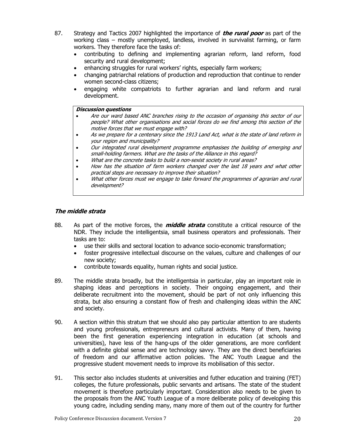- 87. Strategy and Tactics 2007 highlighted the importance of **the rural poor** as part of the working class – mostly unemployed, landless, involved in survivalist farming, or farm workers. They therefore face the tasks of:
	- contributing to defining and implementing agrarian reform, land reform, food security and rural development;
	- enhancing struggles for rural workers' rights, especially farm workers;
	- changing patriarchal relations of production and reproduction that continue to render women second-class citizens;
	- engaging white compatriots to further agrarian and land reform and rural development.

#### **Discussion questions**

- Are our ward based ANC branches rising to the occasion of organising this sector of our people? What other organisations and social forces do we find among this section of the motive forces that we must engage with?
- As we prepare for a centenary since the 1913 Land Act, what is the state of land reform in your region and municipality?
- Our integrated rural development programme emphasises the building of emerging and small-holding farmers. What are the tasks of the Alliance in this regard?
- What are the concrete tasks to build a non-sexist society in rural areas?
- How has the situation of farm workers changed over the last 18 years and what other practical steps are necessary to improve their situation?
- What other forces must we engage to take forward the programmes of agrarian and rural development?

#### **The middle strata**

- 88. As part of the motive forces, the **middle strata** constitute a critical resource of the NDR. They include the intelligentsia, small business operators and professionals. Their tasks are to:
	- use their skills and sectoral location to advance socio-economic transformation;
	- foster progressive intellectual discourse on the values, culture and challenges of our new society;
	- contribute towards equality, human rights and social justice.
- 89. The middle strata broadly, but the intelligentsia in particular, play an important role in shaping ideas and perceptions in society. Their ongoing engagement, and their deliberate recruitment into the movement, should be part of not only influencing this strata, but also ensuring a constant flow of fresh and challenging ideas within the ANC and society.
- 90. A section within this stratum that we should also pay particular attention to are students and young professionals, entrepreneurs and cultural activists. Many of them, having been the first generation experiencing integration in education (at schools and universities), have less of the hang-ups of the older generations, are more confident with a definite global sense and are technology savvy. They are the direct beneficiaries of freedom and our affirmative action policies. The ANC Youth League and the progressive student movement needs to improve its mobilisation of this sector.
- 91. This sector also includes students at universities and futher education and training (FET) colleges, the future professionals, public servants and artisans. The state of the student movement is therefore particularly important. Consideration also needs to be given to the proposals from the ANC Youth League of a more deliberate policy of developing this young cadre, including sending many, many more of them out of the country for further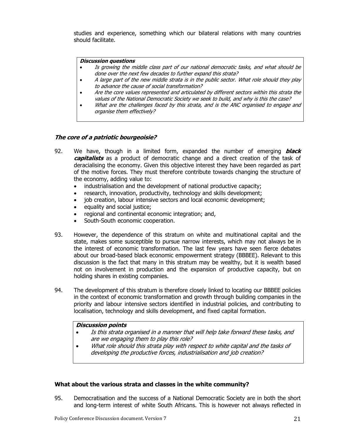studies and experience, something which our bilateral relations with many countries should facilitate.

#### **Discussion questions**

- Is growing the middle class part of our national democratic tasks, and what should be done over the next few decades to further expand this strata?
- A large part of the new middle strata is in the public sector. What role should they play to advance the cause of social transformation?
- Are the core values represented and articulated by different sectors within this strata the values of the National Democratic Society we seek to build, and why is this the case?
- What are the challenges faced by this strata, and is the ANC organised to engage and organise them effectively?

#### **The core of a patriotic bourgeoisie?**

- 92. We have, though in a limited form, expanded the number of emerging **black capitalists** as a product of democratic change and a direct creation of the task of deracialising the economy. Given this objective interest they have been regarded as part of the motive forces. They must therefore contribute towards changing the structure of the economy, adding value to:
	- industrialisation and the development of national productive capacity;
	- research, innovation, productivity, technology and skills development;
	- job creation, labour intensive sectors and local economic development;
	- equality and social justice;
	- regional and continental economic integration; and,
	- South-South economic cooperation.
- 93. However, the dependence of this stratum on white and multinational capital and the state, makes some susceptible to pursue narrow interests, which may not always be in the interest of economic transformation. The last few years have seen fierce debates about our broad-based black economic empowerment strategy (BBBEE). Relevant to this discussion is the fact that many in this stratum may be wealthy, but it is wealth based not on involvement in production and the expansion of productive capacity, but on holding shares in existing companies.
- 94. The development of this stratum is therefore closely linked to locating our BBBEE policies in the context of economic transformation and growth through building companies in the priority and labour intensive sectors identified in industrial policies, and contributing to localisation, technology and skills development, and fixed capital formation.

#### **Discussion points**

- Is this strata organised in a manner that will help take forward these tasks, and are we engaging them to play this role?
- What role should this strata play with respect to white capital and the tasks of developing the productive forces, industrialisation and job creation?

#### **What about the various strata and classes in the white community?**

95. Democratisation and the success of a National Democratic Society are in both the short and long-term interest of white South Africans. This is however not always reflected in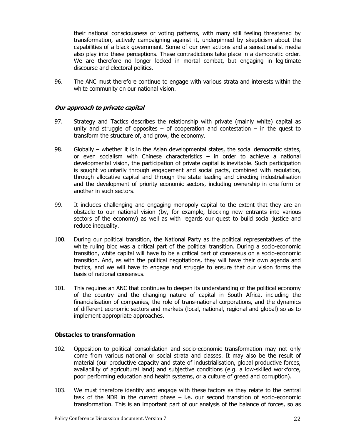their national consciousness or voting patterns, with many still feeling threatened by transformation, actively campaigning against it, underpinned by skepticism about the capabilities of a black government. Some of our own actions and a sensationalist media also play into these perceptions. These contradictions take place in a democratic order. We are therefore no longer locked in mortal combat, but engaging in legitimate discourse and electoral politics.

96. The ANC must therefore continue to engage with various strata and interests within the white community on our national vision.

#### **Our approach to private capital**

- 97. Strategy and Tactics describes the relationship with private (mainly white) capital as unity and struggle of opposites  $-$  of cooperation and contestation  $-$  in the quest to transform the structure of, and grow, the economy.
- 98. Globally whether it is in the Asian developmental states, the social democratic states, or even socialism with Chinese characteristics – in order to achieve a national developmental vision, the participation of private capital is inevitable. Such participation is sought voluntarily through engagement and social pacts, combined with regulation, through allocative capital and through the state leading and directing industrialisation and the development of priority economic sectors, including ownership in one form or another in such sectors.
- 99. It includes challenging and engaging monopoly capital to the extent that they are an obstacle to our national vision (by, for example, blocking new entrants into various sectors of the economy) as well as with regards our quest to build social justice and reduce inequality.
- 100. During our political transition, the National Party as the political representatives of the white ruling bloc was a critical part of the political transition. During a socio-economic transition, white capital will have to be a critical part of consensus on a socio-economic transition. And, as with the political negotiations, they will have their own agenda and tactics, and we will have to engage and struggle to ensure that our vision forms the basis of national consensus.
- 101. This requires an ANC that continues to deepen its understanding of the political economy of the country and the changing nature of capital in South Africa, including the financialisation of companies, the role of trans-national corporations, and the dynamics of different economic sectors and markets (local, national, regional and global) so as to implement appropriate approaches.

#### **Obstacles to transformation**

- 102. Opposition to political consolidation and socio-economic transformation may not only come from various national or social strata and classes. It may also be the result of material (our productive capacity and state of industrialisation, global productive forces, availability of agricultural land) and subjective conditions (e.g. a low-skilled workforce, poor performing education and health systems, or a culture of greed and corruption).
- 103. We must therefore identify and engage with these factors as they relate to the central task of the NDR in the current phase – i.e. our second transition of socio-economic transformation. This is an important part of our analysis of the balance of forces, so as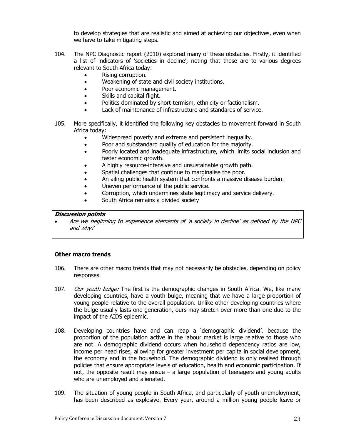to develop strategies that are realistic and aimed at achieving our objectives, even when we have to take mitigating steps.

- 104. The NPC Diagnostic report (2010) explored many of these obstacles. Firstly, it identified a list of indicators of 'societies in decline', noting that these are to various degrees relevant to South Africa today:
	- Rising corruption.
	- Weakening of state and civil society institutions.
	- Poor economic management.
	- Skills and capital flight.
	- Politics dominated by short-termism, ethnicity or factionalism.
	- Lack of maintenance of infrastructure and standards of service.
- 105. More specifically, it identified the following key obstacles to movement forward in South Africa today:
	- Widespread poverty and extreme and persistent inequality.
	- Poor and substandard quality of education for the majority.
	- Poorly located and inadequate infrastructure, which limits social inclusion and faster economic growth.
	- A highly resource-intensive and unsustainable growth path.
	- Spatial challenges that continue to marginalise the poor.
	- An ailing public health system that confronts a massive disease burden.
	- Uneven performance of the public service.
	- Corruption, which undermines state legitimacy and service delivery.
	- South Africa remains a divided society

#### **Discussion points**

• Are we beginning to experience elements of 'a society in decline' as defined by the NPC and why?

#### **Other macro trends**

- 106. There are other macro trends that may not necessarily be obstacles, depending on policy responses.
- 107. *Our youth bulge:* The first is the demographic changes in South Africa. We, like many developing countries, have a youth bulge, meaning that we have a large proportion of young people relative to the overall population. Unlike other developing countries where the bulge usually lasts one generation, ours may stretch over more than one due to the impact of the AIDS epidemic.
- 108. Developing countries have and can reap a 'demographic dividend', because the proportion of the population active in the labour market is large relative to those who are not. A demographic dividend occurs when household dependency ratios are low, income per head rises, allowing for greater investment per capita in social development, the economy and in the household. The demographic dividend is only realised through policies that ensure appropriate levels of education, health and economic participation. If not, the opposite result may ensue – a large population of teenagers and young adults who are unemployed and alienated.
- 109. The situation of young people in South Africa, and particularly of youth unemployment, has been described as explosive. Every year, around a million young people leave or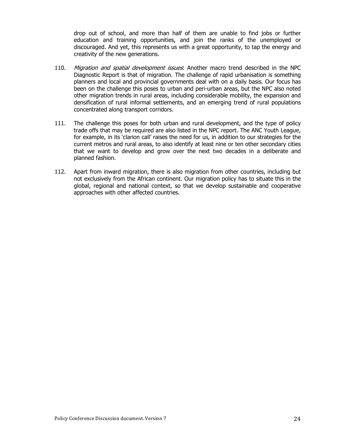drop out of school, and more than half of them are unable to find jobs or further education and training opportunities, and join the ranks of the unemployed or discouraged. And yet, this represents us with a great opportunity, to tap the energy and creativity of the new generations.

- 110. Migration and spatial development issues. Another macro trend described in the NPC Diagnostic Report is that of migration. The challenge of rapid urbanisation is something planners and local and provincial governments deal with on a daily basis. Our focus has been on the challenge this poses to urban and peri-urban areas, but the NPC also noted other migration trends in rural areas, including considerable mobility, the expansion and densification of rural informal settlements, and an emerging trend of rural populations concentrated along transport corridors.
- 111. The challenge this poses for both urban and rural development, and the type of policy trade offs that may be required are also listed in the NPC report. The ANC Youth League, for example, in its 'clarion call' raises the need for us, in addition to our strategies for the current metros and rural areas, to also identify at least nine or ten other secondary cities that we want to develop and grow over the next two decades in a deliberate and planned fashion.
- 112. Apart from inward migration, there is also migration from other countries, including but not exclusively from the African continent. Our migration policy has to situate this in the global, regional and national context, so that we develop sustainable and cooperative approaches with other affected countries.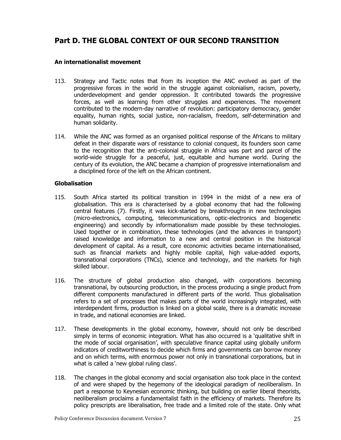# **Part D. THE GLOBAL CONTEXT OF OUR SECOND TRANSITION**

#### **An internationalist movement**

- 113. Strategy and Tactic notes that from its inception the ANC evolved as part of the progressive forces in the world in the struggle against colonialism, racism, poverty, underdevelopment and gender oppression. It contributed towards the progressive forces, as well as learning from other struggles and experiences. The movement contributed to the modern-day narrative of revolution: participatory democracy, gender equality, human rights, social justice, non-racialism, freedom, self-determination and human solidarity.
- 114. While the ANC was formed as an organised political response of the Africans to military defeat in their disparate wars of resistance to colonial conquest, its founders soon came to the recognition that the anti-colonial struggle in Africa was part and parcel of the world-wide struggle for a peaceful, just, equitable and humane world. During the century of its evolution, the ANC became a champion of progressive internationalism and a disciplined force of the left on the African continent.

#### **Globalisation**

- 115. South Africa started its political transition in 1994 in the midst of a new era of globalisation. This era is characterised by a global economy that had the following central features (7). Firstly, it was kick-started by breakthroughs in new technologies (micro-electronics, computing, telecommunications, optic-electronics and biogenetic engineering) and secondly by informationalism made possible by these technologies. Used together or in combination, these technologies (and the advances in transport) raised knowledge and information to a new and central position in the historical development of capital. As a result, core economic activities became internationalised, such as financial markets and highly mobile capital, high value-added exports, transnational corporations (TNCs), science and technology, and the markets for high skilled labour.
- 116. The structure of global production also changed, with corporations becoming transnational, by outsourcing production, in the process producing a single product from different components manufactured in different parts of the world. Thus globalisation refers to a set of processes that makes parts of the world increasingly integrated, with interdependent firms, production is linked on a global scale, there is a dramatic increase in trade, and national economies are linked.
- 117. These developments in the global economy, however, should not only be described simply in terms of economic integration. What has also occurred is a 'qualitative shift in the mode of social organisation', with speculative finance capital using globally uniform indicators of creditworthiness to decide which firms and governments can borrow money and on which terms, with enormous power not only in transnational corporations, but in what is called a 'new global ruling class'.
- 118. The changes in the global economy and social organisation also took place in the context of and were shaped by the hegemony of the ideological paradigm of neoliberalism. In part a response to Keynesian economic thinking, but building on earlier liberal theorists, neoliberalism proclaims a fundamentalist faith in the efficiency of markets. Therefore its policy prescripts are liberalisation, free trade and a limited role of the state. Only what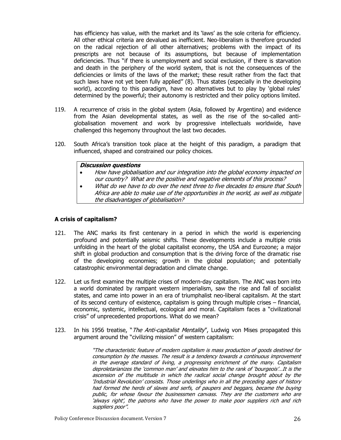has efficiency has value, with the market and its 'laws' as the sole criteria for efficiency. All other ethical criteria are devalued as inefficient. Neo-liberalism is therefore grounded on the radical rejection of all other alternatives; problems with the impact of its prescripts are not because of its assumptions, but because of implementation deficiencies. Thus "if there is unemployment and social exclusion, if there is starvation and death in the periphery of the world system, that is not the consequences of the deficiencies or limits of the laws of the market; these result rather from the fact that such laws have not yet been fully applied" (8). Thus states (especially in the developing world), according to this paradigm, have no alternatives but to play by 'global rules' determined by the powerful; their autonomy is restricted and their policy options limited.

- 119. A recurrence of crisis in the global system (Asia, followed by Argentina) and evidence from the Asian developmental states, as well as the rise of the so-called antiglobalisation movement and work by progressive intellectuals worldwide, have challenged this hegemony throughout the last two decades.
- 120. South Africa's transition took place at the height of this paradigm, a paradigm that influenced, shaped and constrained our policy choices.

#### **Discussion questions**

- How have globalisation and our integration into the global economy impacted on our country? What are the positive and negative elements of this process?
- What do we have to do over the next three to five decades to ensure that South Africa are able to make use of the opportunities in the world, as well as mitigate the disadvantages of globalisation?

#### **A crisis of capitalism?**

- 121. The ANC marks its first centenary in a period in which the world is experiencing profound and potentially seismic shifts. These developments include a multiple crisis unfolding in the heart of the global capitalist economy, the USA and Eurozone; a major shift in global production and consumption that is the driving force of the dramatic rise of the developing economies; growth in the global population; and potentially catastrophic environmental degradation and climate change.
- 122. Let us first examine the multiple crises of modern-day capitalism. The ANC was born into a world dominated by rampant western imperialism, saw the rise and fall of socialist states, and came into power in an era of triumphalist neo-liberal capitalism. At the start of its second century of existence, capitalism is going through multiple crises – financial, economic, systemic, intellectual, ecological and moral. Capitalism faces a "civilizational crisis" of unprecedented proportions. What do we mean?
- 123. In his 1956 treatise, "*The Anti-capitalist Mentality*", Ludwig von Mises propagated this argument around the "civilizing mission" of western capitalism:

"The characteristic feature of modern capitalism is mass production of goods destined for consumption by the masses. The result is a tendency towards a continuous improvement in the average standard of living, a progressing enrichment of the many. Capitalism deproletarianizes the 'common man' and elevates him to the rank of 'bourgeois'…It is the ascension of the multitude in which the radical social change brought about by the 'Industrial Revolution' consists. Those underlings who in all the preceding ages of history had formed the herds of slaves and serfs, of paupers and beggars, became the buying public, for whose favour the businessmen canvass. They are the customers who are 'always right', the patrons who have the power to make poor suppliers rich and rich suppliers poor".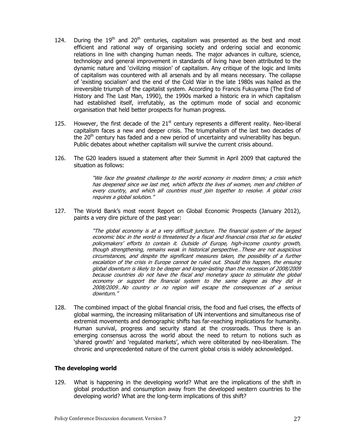- 124. During the 19<sup>th</sup> and 20<sup>th</sup> centuries, capitalism was presented as the best and most efficient and rational way of organising society and ordering social and economic relations in line with changing human needs. The major advances in culture, science, technology and general improvement in standards of living have been attributed to the dynamic nature and 'civilizing mission' of capitalism. Any critique of the logic and limits of capitalism was countered with all arsenals and by all means necessary. The collapse of 'existing socialism' and the end of the Cold War in the late 1980s was hailed as the irreversible triumph of the capitalist system. According to Francis Fukuyama (The End of History and The Last Man, 1990), the 1990s marked a historic era in which capitalism had established itself, irrefutably, as the optimum mode of social and economic organisation that held better prospects for human progress.
- 125. However, the first decade of the  $21^{st}$  century represents a different reality. Neo-liberal capitalism faces a new and deeper crisis. The triumphalism of the last two decades of the  $20<sup>th</sup>$  century has faded and a new period of uncertainty and vulnerability has begun. Public debates about whether capitalism will survive the current crisis abound.
- 126. The G20 leaders issued a statement after their Summit in April 2009 that captured the situation as follows:

"We face the greatest challenge to the world economy in modern times; a crisis which has deepened since we last met, which affects the lives of women, men and children of every country, and which all countries must join together to resolve. A global crisis requires a global solution."

127. The World Bank's most recent Report on Global Economic Prospects (January 2012), paints a very dire picture of the past year:

> "The global economy is at a very difficult juncture. The financial system of the largest economic bloc in the world is threatened by a fiscal and financial crisis that so far eluded policymakers' efforts to contain it. Outside of Europe, high-income country growth, though strengthening, remains weak in historical perspective…These are not auspicious circumstances, and despite the significant measures taken, the possibility of a further escalation of the crisis in Europe cannot be ruled out. Should this happen, the ensuing global downturn is likely to be deeper and longer-lasting than the recession of 2008/2009 because countries do not have the fiscal and monetary space to stimulate the global economy or support the financial system to the same degree as they did in 2008/2009…No country or no region will escape the consequences of a serious downturn."

128. The combined impact of the global financial crisis, the food and fuel crises, the effects of global warming, the increasing militarisation of UN interventions and simultaneous rise of extremist movements and demographic shifts has far-reaching implications for humanity. Human survival, progress and security stand at the crossroads. Thus there is an emerging consensus across the world about the need to return to notions such as 'shared growth' and 'regulated markets', which were obliterated by neo-liberalism. The chronic and unprecedented nature of the current global crisis is widely acknowledged.

#### **The developing world**

129. What is happening in the developing world? What are the implications of the shift in global production and consumption away from the developed western countries to the developing world? What are the long-term implications of this shift?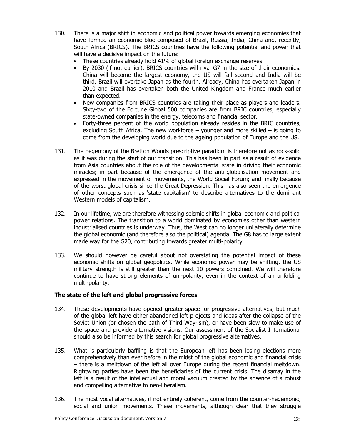- 130. There is a major shift in economic and political power towards emerging economies that have formed an economic bloc composed of Brazil, Russia, India, China and, recently, South Africa (BRICS). The BRICS countries have the following potential and power that will have a decisive impact on the future:
	- These countries already hold 41% of global foreign exchange reserves.
	- By 2030 (if not earlier), BRICS countries will rival G7 in the size of their economies. China will become the largest economy, the US will fall second and India will be third. Brazil will overtake Japan as the fourth. Already, China has overtaken Japan in 2010 and Brazil has overtaken both the United Kingdom and France much earlier than expected.
	- New companies from BRICS countries are taking their place as players and leaders. Sixty-two of the Fortune Global 500 companies are from BRIC countries, especially state-owned companies in the energy, telecoms and financial sector.
	- Forty-three percent of the world population already resides in the BRIC countries, excluding South Africa. The new workforce  $-$  younger and more skilled  $-$  is going to come from the developing world due to the ageing population of Europe and the US.
- 131. The hegemony of the Bretton Woods prescriptive paradigm is therefore not as rock-solid as it was during the start of our transition. This has been in part as a result of evidence from Asia countries about the role of the developmental state in driving their economic miracles; in part because of the emergence of the anti-globalisation movement and expressed in the movement of movements, the World Social Forum; and finally because of the worst global crisis since the Great Depression. This has also seen the emergence of other concepts such as 'state capitalism' to describe alternatives to the dominant Western models of capitalism.
- 132. In our lifetime, we are therefore witnessing seismic shifts in global economic and political power relations. The transition to a world dominated by economies other than western industrialised countries is underway. Thus, the West can no longer unilaterally determine the global economic (and therefore also the political) agenda. The G8 has to large extent made way for the G20, contributing towards greater multi-polarity.
- 133. We should however be careful about not overstating the potential impact of these economic shifts on global geopolitics. While economic power may be shifting, the US military strength is still greater than the next 10 powers combined. We will therefore continue to have strong elements of uni-polarity, even in the context of an unfolding multi-polarity.

#### **The state of the left and global progressive forces**

- 134. These developments have opened greater space for progressive alternatives, but much of the global left have either abandoned left projects and ideas after the collapse of the Soviet Union (or chosen the path of Third Way-ism), or have been slow to make use of the space and provide alternative visions. Our assessment of the Socialist International should also be informed by this search for global progressive alternatives.
- 135. What is particularly baffling is that the European left has been losing elections more comprehensively than ever before in the midst of the global economic and financial crisis – there is a meltdown of the left all over Europe during the recent financial meltdown. Rightwing parties have been the beneficiaries of the current crisis. The disarray in the left is a result of the intellectual and moral vacuum created by the absence of a robust and compelling alternative to neo-liberalism.
- 136. The most vocal alternatives, if not entirely coherent, come from the counter-hegemonic, social and union movements. These movements, although clear that they struggle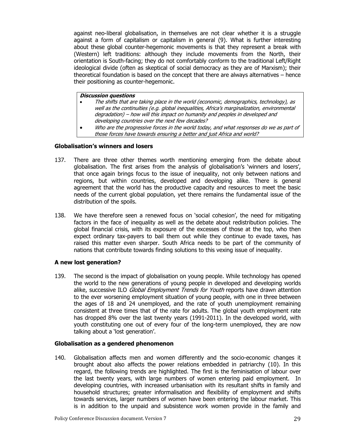against neo-liberal globalisation, in themselves are not clear whether it is a struggle against a form of capitalism or capitalism in general (9). What is further interesting about these global counter-hegemonic movements is that they represent a break with (Western) left traditions: although they include movements from the North, their orientation is South-facing; they do not comfortably conform to the traditional Left/Right ideological divide (often as skeptical of social democracy as they are of Marxism); their theoretical foundation is based on the concept that there are always alternatives – hence their positioning as counter-hegemonic.

#### **Discussion questions**

- The shifts that are taking place in the world (economic, demographics, technology), as well as the continuities (e.g. global inequalities, Africa's marginalization, environmental degradation) – how will this impact on humanity and peoples in developed and developing countries over the next few decades?
	- Who are the progressive forces in the world today, and what responses do we as part of those forces have towards ensuring a better and just Africa and world?

#### **Globalisation's winners and losers**

- 137. There are three other themes worth mentioning emerging from the debate about globalisation. The first arises from the analysis of globalisation's 'winners and losers', that once again brings focus to the issue of inequality, not only between nations and regions, but within countries, developed and developing alike. There is general agreement that the world has the productive capacity and resources to meet the basic needs of the current global population, yet there remains the fundamental issue of the distribution of the spoils.
- 138. We have therefore seen a renewed focus on 'social cohesion', the need for mitigating factors in the face of inequality as well as the debate about redistribution policies. The global financial crisis, with its exposure of the excesses of those at the top, who then expect ordinary tax-payers to bail them out while they continue to evade taxes, has raised this matter even sharper. South Africa needs to be part of the community of nations that contribute towards finding solutions to this vexing issue of inequality.

#### **A new lost generation?**

139. The second is the impact of globalisation on young people. While technology has opened the world to the new generations of young people in developed and developing worlds alike, successive ILO Global Employment Trends for Youth reports have drawn attention to the ever worsening employment situation of young people, with one in three between the ages of 18 and 24 unemployed, and the rate of youth unemployment remaining consistent at three times that of the rate for adults. The global youth employment rate has dropped 8% over the last twenty years (1991-2011). In the developed world, with youth constituting one out of every four of the long-term unemployed, they are now talking about a 'lost generation'.

#### **Globalisation as a gendered phenomenon**

140. Globalisation affects men and women differently and the socio-economic changes it brought about also affects the power relations embedded in patriarchy (10). In this regard, the following trends are highlighted. The first is the feminisation of labour over the last twenty years, with large numbers of women entering paid employment. In developing countries, with increased urbanisation with its resultant shifts in family and household structures; greater informalisation and flexibility of employment and shifts towards services, larger numbers of women have been entering the labour market. This is in addition to the unpaid and subsistence work women provide in the family and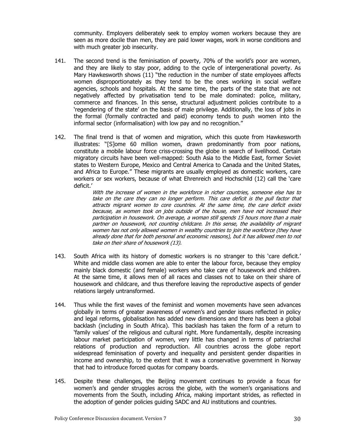community. Employers deliberately seek to employ women workers because they are seen as more docile than men, they are paid lower wages, work in worse conditions and with much greater job insecurity.

- 141. The second trend is the feminisation of poverty, 70% of the world's poor are women, and they are likely to stay poor, adding to the cycle of intergenerational poverty. As Mary Hawkesworth shows (11) "the reduction in the number of state employees affects women disproportionately as they tend to be the ones working in social welfare agencies, schools and hospitals. At the same time, the parts of the state that are not negatively affected by privatisation tend to be male dominated: police, military, commerce and finances. In this sense, structural adjustment policies contribute to a 'regendering of the state' on the basis of male privilege. Additionally, the loss of jobs in the formal (formally contracted and paid) economy tends to push women into the informal sector (informalisation) with low pay and no recognition."
- 142. The final trend is that of women and migration, which this quote from Hawkesworth illustrates: "[S]ome 60 million women, drawn predominantly from poor nations, constitute a mobile labour force criss-crossing the globe in search of livelihood. Certain migratory circuits have been well-mapped: South Asia to the Middle East, former Soviet states to Western Europe, Mexico and Central America to Canada and the United States, and Africa to Europe." These migrants are usually employed as domestic workers, care workers or sex workers, because of what Ehrenreich and Hochschild (12) call the 'care deficit.'

With the increase of women in the workforce in richer countries, someone else has to take on the care they can no longer perform. This care deficit is the pull factor that attracts migrant women to core countries. At the same time, the care deficit exists because, as women took on jobs outside of the house, men have not increased their participation in housework. On average, a woman still spends 15 hours more than a male partner on housework, not counting childcare. In this sense, the availability of migrant women has not only allowed women in wealthy countries to join the workforce (they have already done that for both personal and economic reasons), but it has allowed men to not take on their share of housework (13).

- 143. South Africa with its history of domestic workers is no stranger to this 'care deficit.' White and middle class women are able to enter the labour force, because they employ mainly black domestic (and female) workers who take care of housework and children. At the same time, it allows men of all races and classes not to take on their share of housework and childcare, and thus therefore leaving the reproductive aspects of gender relations largely untransformed.
- 144. Thus while the first waves of the feminist and women movements have seen advances globally in terms of greater awareness of women's and gender issues reflected in policy and legal reforms, globalisation has added new dimensions and there has been a global backlash (including in South Africa). This backlash has taken the form of a return to 'family values' of the religious and cultural right. More fundamentally, despite increasing labour market participation of women, very little has changed in terms of patriarchal relations of production and reproduction. All countries across the globe report widespread feminisation of poverty and inequality and persistent gender disparities in income and ownership, to the extent that it was a conservative government in Norway that had to introduce forced quotas for company boards.
- 145. Despite these challenges, the Beijing movement continues to provide a focus for women's and gender struggles across the globe, with the women's organisations and movements from the South, including Africa, making important strides, as reflected in the adoption of gender policies guiding SADC and AU institutions and countries.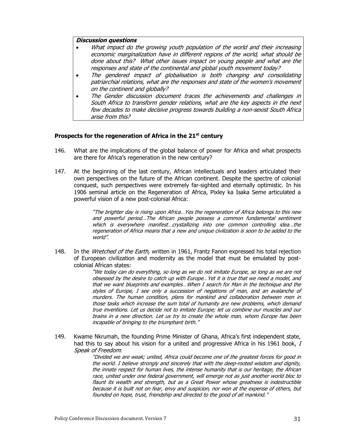#### **Discussion questions**

- What impact do the growing youth population of the world and their increasing economic marginalization have in different regions of the world, what should be done about this? What other issues impact on young people and what are the responses and state of the continental and global youth movement today?
- The gendered impact of globalisation is both changing and consolidating patriarchial relations, what are the responses and state of the women's movement on the continent and globally?
- The Gender discussion document traces the achievements and challenges in South Africa to transform gender relations, what are the key aspects in the next few decades to make decisive progress towards building a non-sexist South Africa arise from this?

#### **Prospects for the regeneration of Africa in the 21st century**

- 146. What are the implications of the global balance of power for Africa and what prospects are there for Africa's regeneration in the new century?
- 147. At the beginning of the last century, African intellectuals and leaders articulated their own perspectives on the future of the African continent. Despite the spectre of colonial conquest, such perspectives were extremely far-sighted and eternally optimistic. In his 1906 seminal article on the Regeneration of Africa, Pixley ka Isaka Seme articulated a powerful vision of a new post-colonial Africa:

"The brighter day is rising upon Africa…Yes the regeneration of Africa belongs to this new and powerful period…The African people possess a common fundamental sentiment which is everywhere manifest…crystallizing into one common controlling idea…the regeneration of Africa means that a new and unique civilization is soon to be added to the world".

148. In the *Wretched of the Earth*, written in 1961, Frantz Fanon expressed his total rejection of European civilization and modernity as the model that must be emulated by postcolonial African states:

"We today can do everything, so long as we do not imitate Europe, so long as we are not obsessed by the desire to catch up with Europe…Yet it is true that we need a model, and that we want blueprints and examples…When I search for Man in the technique and the styles of Europe, I see only a succession of negations of man, and an avalanche of murders. The human condition, plans for mankind and collaboration between men in those tasks which increase the sum total of humanity are new problems, which demand true inventions. Let us decide not to imitate Europe; let us combine our muscles and our brains in a new direction. Let us try to create the whole man, whom Europe has been incapable of bringing to the triumphant birth."

149. Kwame Nkrumah, the founding Prime Minister of Ghana, Africa's first independent state, had this to say about his vision for a united and progressive Africa in his 1961 book,  $I$ Speak of Freedom:

"Divided we are weak; united, Africa could become one of the greatest forces for good in the world. I believe strongly and sincerely that with the deep-rooted wisdom and dignity, the innate respect for human lives, the intense humanity that is our heritage, the African race, united under one federal government, will emerge not as just another world bloc to flaunt its wealth and strength, but as a Great Power whose greatness is indestructible because it is built not on fear, envy and suspicion, nor won at the expense of others, but founded on hope, trust, friendship and directed to the good of all mankind."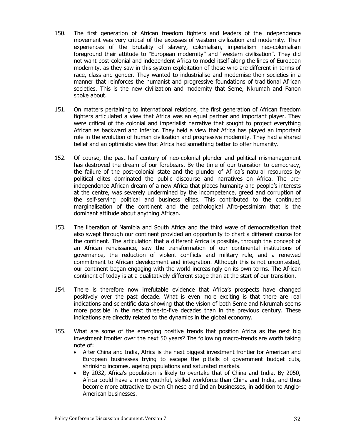- 150. The first generation of African freedom fighters and leaders of the independence movement was very critical of the excesses of western civilization and modernity. Their experiences of the brutality of slavery, colonialism, imperialism neo-colonialism foreground their attitude to "European modernity" and "western civilisation". They did not want post-colonial and independent Africa to model itself along the lines of European modernity, as they saw in this system exploitation of those who are different in terms of race, class and gender. They wanted to industrialise and modernise their societies in a manner that reinforces the humanist and progressive foundations of traditional African societies. This is the new civilization and modernity that Seme, Nkrumah and Fanon spoke about.
- 151. On matters pertaining to international relations, the first generation of African freedom fighters articulated a view that Africa was an equal partner and important player. They were critical of the colonial and imperialist narrative that sought to project everything African as backward and inferior. They held a view that Africa has played an important role in the evolution of human civilization and progressive modernity. They had a shared belief and an optimistic view that Africa had something better to offer humanity.
- 152. Of course, the past half century of neo-colonial plunder and political mismanagement has destroyed the dream of our forebears. By the time of our transition to democracy, the failure of the post-colonial state and the plunder of Africa's natural resources by political elites dominated the public discourse and narratives on Africa. The preindependence African dream of a new Africa that places humanity and people's interests at the centre, was severely undermined by the incompetence, greed and corruption of the self-serving political and business elites. This contributed to the continued marginalisation of the continent and the pathological Afro-pessimism that is the dominant attitude about anything African.
- 153. The liberation of Namibia and South Africa and the third wave of democratisation that also swept through our continent provided an opportunity to chart a different course for the continent. The articulation that a different Africa is possible, through the concept of an African renaissance, saw the transformation of our continental institutions of governance, the reduction of violent conflicts and military rule, and a renewed commitment to African development and integration. Although this is not uncontested, our continent began engaging with the world increasingly on its own terms. The African continent of today is at a qualitatively different stage than at the start of our transition.
- 154. There is therefore now irrefutable evidence that Africa's prospects have changed positively over the past decade. What is even more exciting is that there are real indications and scientific data showing that the vision of both Seme and Nkrumah seems more possible in the next three-to-five decades than in the previous century. These indications are directly related to the dynamics in the global economy.
- 155. What are some of the emerging positive trends that position Africa as the next big investment frontier over the next 50 years? The following macro-trends are worth taking note of:
	- After China and India, Africa is the next biggest investment frontier for American and European businesses trying to escape the pitfalls of government budget cuts, shrinking incomes, ageing populations and saturated markets.
	- By 2032, Africa's population is likely to overtake that of China and India. By 2050, Africa could have a more youthful, skilled workforce than China and India, and thus become more attractive to even Chinese and Indian businesses, in addition to Anglo-American businesses.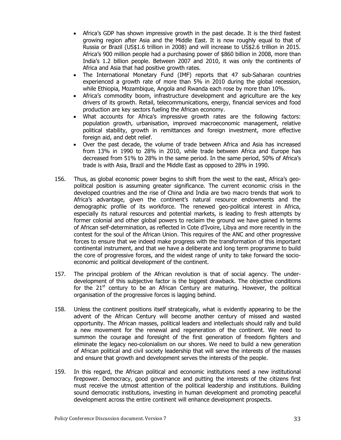- Africa's GDP has shown impressive growth in the past decade. It is the third fastest growing region after Asia and the Middle East. It is now roughly equal to that of Russia or Brazil (US\$1.6 trillion in 2008) and will increase to US\$2.6 trillion in 2015. Africa's 900 million people had a purchasing power of \$860 billion in 2008, more than India's 1.2 billion people. Between 2007 and 2010, it was only the continents of Africa and Asia that had positive growth rates.
- The International Monetary Fund (IMF) reports that 47 sub-Saharan countries experienced a growth rate of more than 5% in 2010 during the global recession, while Ethiopia, Mozambique, Angola and Rwanda each rose by more than 10%.
- Africa's commodity boom, infrastructure development and agriculture are the key drivers of its growth. Retail, telecommunications, energy, financial services and food production are key sectors fueling the African economy.
- What accounts for Africa's impressive growth rates are the following factors: population growth, urbanisation, improved macroeconomic management, relative political stability, growth in remittances and foreign investment, more effective foreign aid, and debt relief.
- Over the past decade, the volume of trade between Africa and Asia has increased from 13% in 1990 to 28% in 2010, while trade between Africa and Europe has decreased from 51% to 28% in the same period. In the same period, 50% of Africa's trade is with Asia, Brazil and the Middle East as opposed to 28% in 1990.
- 156. Thus, as global economic power begins to shift from the west to the east, Africa's geopolitical position is assuming greater significance. The current economic crisis in the developed countries and the rise of China and India are two macro trends that work to Africa's advantage, given the continent's natural resource endowments and the demographic profile of its workforce. The renewed geo-political interest in Africa, especially its natural resources and potential markets, is leading to fresh attempts by former colonial and other global powers to reclaim the ground we have gained in terms of African self-determination, as reflected in Cote d'Ivoire, Libya and more recently in the contest for the soul of the African Union. This requires of the ANC and other progressive forces to ensure that we indeed make progress with the transformation of this important continental instrument, and that we have a deliberate and long term programme to build the core of progressive forces, and the widest range of unity to take forward the socioeconomic and political development of the continent.
- 157. The principal problem of the African revolution is that of social agency. The underdevelopment of this subjective factor is the biggest drawback. The objective conditions for the  $21<sup>st</sup>$  century to be an African Century are maturing. However, the political organisation of the progressive forces is lagging behind.
- 158. Unless the continent positions itself strategically, what is evidently appearing to be the advent of the African Century will become another century of missed and wasted opportunity. The African masses, political leaders and intellectuals should rally and build a new movement for the renewal and regeneration of the continent. We need to summon the courage and foresight of the first generation of freedom fighters and eliminate the legacy neo-colonialism on our shores. We need to build a new generation of African political and civil society leadership that will serve the interests of the masses and ensure that growth and development serves the interests of the people.
- 159. In this regard, the African political and economic institutions need a new institutional firepower. Democracy, good governance and putting the interests of the citizens first must receive the utmost attention of the political leadership and institutions. Building sound democratic institutions, investing in human development and promoting peaceful development across the entire continent will enhance development prospects.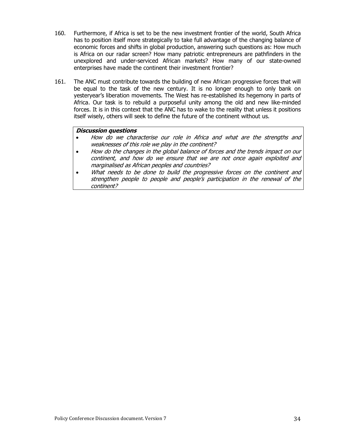- 160. Furthermore, if Africa is set to be the new investment frontier of the world, South Africa has to position itself more strategically to take full advantage of the changing balance of economic forces and shifts in global production, answering such questions as: How much is Africa on our radar screen? How many patriotic entrepreneurs are pathfinders in the unexplored and under-serviced African markets? How many of our state-owned enterprises have made the continent their investment frontier?
- 161. The ANC must contribute towards the building of new African progressive forces that will be equal to the task of the new century. It is no longer enough to only bank on yesteryear's liberation movements. The West has re-established its hegemony in parts of Africa. Our task is to rebuild a purposeful unity among the old and new like-minded forces. It is in this context that the ANC has to wake to the reality that unless it positions itself wisely, others will seek to define the future of the continent without us.

#### **Discussion questions**

- How do we characterise our role in Africa and what are the strengths and weaknesses of this role we play in the continent?
- How do the changes in the global balance of forces and the trends impact on our continent, and how do we ensure that we are not once again exploited and marginalised as African peoples and countries?
- What needs to be done to build the progressive forces on the continent and strengthen people to people and people's participation in the renewal of the continent?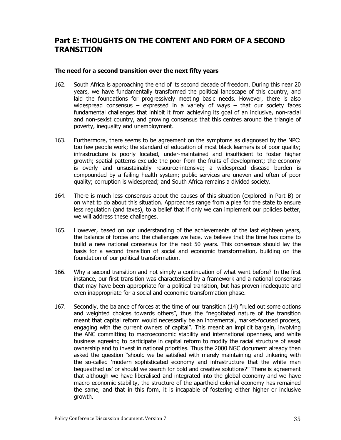# **Part E: THOUGHTS ON THE CONTENT AND FORM OF A SECOND TRANSITION**

#### **The need for a second transition over the next fifty years**

- 162. South Africa is approaching the end of its second decade of freedom. During this near 20 years, we have fundamentally transformed the political landscape of this country, and laid the foundations for progressively meeting basic needs. However, there is also widespread consensus – expressed in a variety of ways – that our society faces fundamental challenges that inhibit it from achieving its goal of an inclusive, non-racial and non-sexist country, and growing consensus that this centres around the triangle of poverty, inequality and unemployment.
- 163. Furthermore, there seems to be agreement on the symptoms as diagnosed by the NPC: too few people work; the standard of education of most black learners is of poor quality; infrastructure is poorly located, under-maintained and insufficient to foster higher growth; spatial patterns exclude the poor from the fruits of development; the economy is overly and unsustainably resource-intensive; a widespread disease burden is compounded by a failing health system; public services are uneven and often of poor quality; corruption is widespread; and South Africa remains a divided society.
- 164. There is much less consensus about the causes of this situation (explored in Part B) or on what to do about this situation. Approaches range from a plea for the state to ensure less regulation (and taxes), to a belief that if only we can implement our policies better, we will address these challenges.
- 165. However, based on our understanding of the achievements of the last eighteen years, the balance of forces and the challenges we face, we believe that the time has come to build a new national consensus for the next 50 years. This consensus should lay the basis for a second transition of social and economic transformation, building on the foundation of our political transformation.
- 166. Why a second transition and not simply a continuation of what went before? In the first instance, our first transition was characterised by a framework and a national consensus that may have been appropriate for a political transition, but has proven inadequate and even inappropriate for a social and economic transformation phase.
- 167. Secondly, the balance of forces at the time of our transition (14) "ruled out some options and weighted choices towards others", thus the "negotiated nature of the transition meant that capital reform would necessarily be an incremental, market-focused process, engaging with the current owners of capital". This meant an implicit bargain, involving the ANC committing to macroeconomic stability and international openness, and white business agreeing to participate in capital reform to modify the racial structure of asset ownership and to invest in national priorities. Thus the 2000 NGC document already then asked the question "should we be satisfied with merely maintaining and tinkering with the so-called 'modern sophisticated economy and infrastructure that the white man bequeathed us' or should we search for bold and creative solutions?" There is agreement that although we have liberalised and integrated into the global economy and we have macro economic stability, the structure of the apartheid colonial economy has remained the same, and that in this form, it is incapable of fostering either higher or inclusive growth.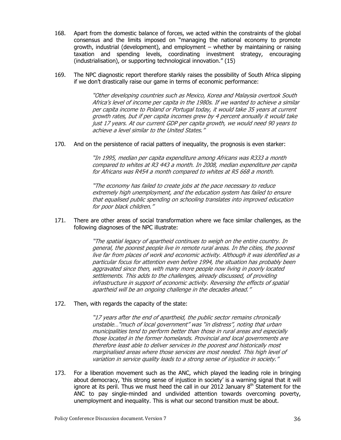- 168. Apart from the domestic balance of forces, we acted within the constraints of the global consensus and the limits imposed on "managing the national economy to promote growth, industrial (development), and employment – whether by maintaining or raising taxation and spending levels, coordinating investment strategy, encouraging (industrialisation), or supporting technological innovation." (15)
- 169. The NPC diagnostic report therefore starkly raises the possibility of South Africa slipping if we don't drastically raise our game in terms of economic performance:

"Other developing countries such as Mexico, Korea and Malaysia overtook South Africa's level of income per capita in the 1980s. If we wanted to achieve a similar per capita income to Poland or Portugal today, it would take 35 years at current growth rates, but if per capita incomes grew by 4 percent annually it would take just 17 years. At our current GDP per capita growth, we would need 90 years to achieve a level similar to the United States."

170. And on the persistence of racial patters of inequality, the prognosis is even starker:

"In 1995, median per capita expenditure among Africans was R333 a month compared to whites at R3 443 a month. In 2008, median expenditure per capita for Africans was R454 a month compared to whites at R5 668 a month.

"The economy has failed to create jobs at the pace necessary to reduce extremely high unemployment, and the education system has failed to ensure that equalised public spending on schooling translates into improved education for poor black children."

171. There are other areas of social transformation where we face similar challenges, as the following diagnoses of the NPC illustrate:

> "The spatial legacy of apartheid continues to weigh on the entire country. In general, the poorest people live in remote rural areas. In the cities, the poorest live far from places of work and economic activity. Although it was identified as a particular focus for attention even before 1994, the situation has probably been aggravated since then, with many more people now living in poorly located settlements. This adds to the challenges, already discussed, of providing infrastructure in support of economic activity. Reversing the effects of spatial apartheid will be an ongoing challenge in the decades ahead."

172. Then, with regards the capacity of the state:

"17 years after the end of apartheid, the public sector remains chronically unstable…"much of local government" was "in distress", noting that urban municipalities tend to perform better than those in rural areas and especially those located in the former homelands. Provincial and local governments are therefore least able to deliver services in the poorest and historically most marginalised areas where those services are most needed. This high level of variation in service quality leads to a strong sense of injustice in society."

173. For a liberation movement such as the ANC, which played the leading role in bringing about democracy, 'this strong sense of injustice in society' is a warning signal that it will ignore at its peril. Thus we must heed the call in our 2012 January  $8<sup>th</sup>$  Statement for the ANC to pay single-minded and undivided attention towards overcoming poverty, unemployment and inequality. This is what our second transition must be about.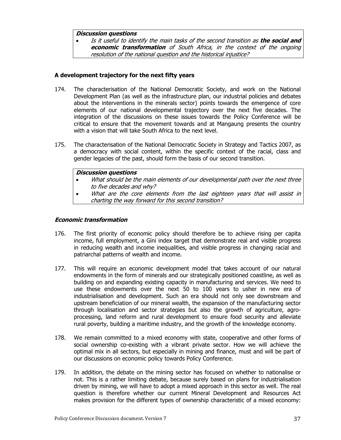#### **Discussion questions**

• Is it useful to identify the main tasks of the second transition as **the social and economic transformation** of South Africa, in the context of the ongoing resolution of the national question and the historical injustice?

#### **A development trajectory for the next fifty years**

- 174. The characterisation of the National Democratic Society, and work on the National Development Plan (as well as the infrastructure plan, our industrial policies and debates about the interventions in the minerals sector) points towards the emergence of core elements of our national developmental trajectory over the next five decades. The integration of the discussions on these issues towards the Policy Conference will be critical to ensure that the movement towards and at Mangaung presents the country with a vision that will take South Africa to the next level.
- 175. The characterisation of the National Democratic Society in Strategy and Tactics 2007, as a democracy with social content, within the specific context of the racial, class and gender legacies of the past, should form the basis of our second transition.

#### **Discussion questions**

- What should be the main elements of our developmental path over the next three to five decades and why?
- What are the core elements from the last eighteen years that will assist in charting the way forward for this second transition?

#### **Economic transformation**

- 176. The first priority of economic policy should therefore be to achieve rising per capita income, full employment, a Gini index target that demonstrate real and visible progress in reducing wealth and income inequalities, and visible progress in changing racial and patriarchal patterns of wealth and income.
- 177. This will require an economic development model that takes account of our natural endowments in the form of minerals and our strategically positioned coastline, as well as building on and expanding existing capacity in manufacturing and services. We need to use these endowments over the next 50 to 100 years to usher in new era of industrialisation and development. Such an era should not only see downstream and upstream beneficiation of our mineral wealth, the expansion of the manufacturing sector through localisation and sector strategies but also the growth of agriculture, agroprocessing, land reform and rural development to ensure food security and alleviate rural poverty, building a maritime industry, and the growth of the knowledge economy.
- 178. We remain committed to a mixed economy with state, cooperative and other forms of social ownership co-existing with a vibrant private sector. How we will achieve the optimal mix in all sectors, but especially in mining and finance, must and will be part of our discussions on economic policy towards Policy Conference.
- 179. In addition, the debate on the mining sector has focused on whether to nationalise or not. This is a rather limiting debate, because surely based on plans for industrialisation driven by mining, we will have to adopt a mixed approach in this sector as well. The real question is therefore whether our current Mineral Development and Resources Act makes provision for the different types of ownership characteristic of a mixed economy: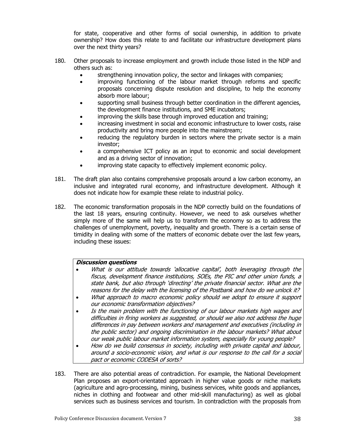for state, cooperative and other forms of social ownership, in addition to private ownership? How does this relate to and facilitate our infrastructure development plans over the next thirty years?

- 180. Other proposals to increase employment and growth include those listed in the NDP and others such as:
	- strengthening innovation policy, the sector and linkages with companies;
	- improving functioning of the labour market through reforms and specific proposals concerning dispute resolution and discipline, to help the economy absorb more labour;
	- supporting small business through better coordination in the different agencies, the development finance institutions, and SME incubators;
	- improving the skills base through improved education and training;
	- increasing investment in social and economic infrastructure to lower costs, raise productivity and bring more people into the mainstream;
	- reducing the regulatory burden in sectors where the private sector is a main investor;
	- a comprehensive ICT policy as an input to economic and social development and as a driving sector of innovation;
	- improving state capacity to effectively implement economic policy.
- 181. The draft plan also contains comprehensive proposals around a low carbon economy, an inclusive and integrated rural economy, and infrastructure development. Although it does not indicate how for example these relate to industrial policy.
- 182. The economic transformation proposals in the NDP correctly build on the foundations of the last 18 years, ensuring continuity. However, we need to ask ourselves whether simply more of the same will help us to transform the economy so as to address the challenges of unemployment, poverty, inequality and growth. There is a certain sense of timidity in dealing with some of the matters of economic debate over the last few years, including these issues:

#### **Discussion questions**

- What is our attitude towards 'allocative capital', both leveraging through the fiscus, development finance institutions, SOEs, the PIC and other union funds, a state bank, but also through 'directing' the private financial sector. What are the reasons for the delay with the licensing of the Postbank and how do we unlock it?
- What approach to macro economic policy should we adopt to ensure it support our economic transformation objectives?
- Is the main problem with the functioning of our labour markets high wages and difficulties in firing workers as suggested, or should we also not address the huge differences in pay between workers and management and executives (including in the public sector) and ongoing discrimination in the labour markets? What about our weak public labour market information system, especially for young people?
- How do we build consensus in society, including with private capital and labour, around a socio-economic vision, and what is our response to the call for a social pact or economic CODESA of sorts?
- 183. There are also potential areas of contradiction. For example, the National Development Plan proposes an export-orientated approach in higher value goods or niche markets (agriculture and agro-processing, mining, business services, white goods and appliances, niches in clothing and footwear and other mid-skill manufacturing) as well as global services such as business services and tourism. In contradiction with the proposals from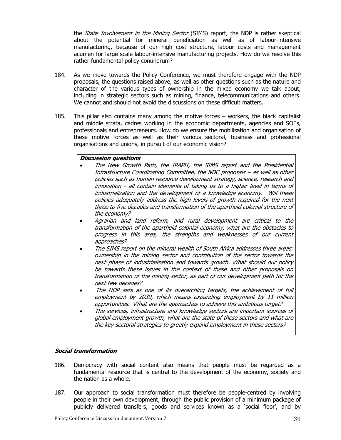the *State Involvement in the Mining Sector* (SIMS) report, the NDP is rather skeptical about the potential for mineral beneficiation as well as of labour-intensive manufacturing, because of our high cost structure, labour costs and management acumen for large scale labour-intensive manufacturing projects. How do we resolve this rather fundamental policy conundrum?

- 184. As we move towards the Policy Conference, we must therefore engage with the NDP proposals, the questions raised above, as well as other questions such as the nature and character of the various types of ownership in the mixed economy we talk about, including in strategic sectors such as mining, finance, telecommunications and others. We cannot and should not avoid the discussions on these difficult matters.
- 185. This pillar also contains many among the motive forces workers, the black capitalist and middle strata, cadres working in the economic departments, agencies and SOEs, professionals and entrepreneurs. How do we ensure the mobilisation and organisation of these motive forces as well as their various sectoral, business and professional organisations and unions, in pursuit of our economic vision?

#### **Discussion questions**

- The New Growth Path, the IPAPII, the SIMS report and the Presidential Infrastructure Coordinating Committee, the NDC proposals – as well as other policies such as human resource development strategy, science, research and innovation - all contain elements of taking us to a higher level in terms of industrialization and the development of a knowledge economy. Will these policies adequately address the high levels of growth required for the next three to five decades and transformation of the apartheid colonial structure of the economy?
- Agrarian and land reform, and rural development are critical to the transformation of the apartheid colonial economy, what are the obstacles to progress in this area, the strengths and weaknesses of our current approaches?
- The SIMS report on the mineral wealth of South Africa addresses three areas: ownership in the mining sector and contribution of the sector towards the next phase of industrialisation and towards growth. What should our policy be towards these issues in the context of these and other proposals on transformation of the mining sector, as part of our development path for the next few decades?
- The NDP sets as one of its overarching targets, the achievement of full employment by 2030, which means expanding employment by 11 million opportunities. What are the approaches to achieve this ambitious target?
- The services, infrastructure and knowledge sectors are important sources of global employment growth, what are the state of these sectors and what are the key sectoral strategies to greatly expand employment in these sectors?

#### **Social transformation**

- 186. Democracy with social content also means that people must be regarded as a fundamental resource that is central to the development of the economy, society and the nation as a whole.
- 187. Our approach to social transformation must therefore be people-centred by involving people in their own development, through the public provision of a minimum package of publicly delivered transfers, goods and services known as a 'social floor', and by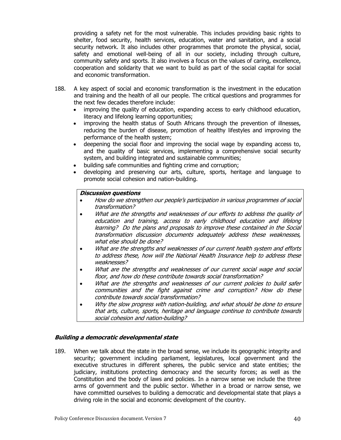providing a safety net for the most vulnerable. This includes providing basic rights to shelter, food security, health services, education, water and sanitation, and a social security network. It also includes other programmes that promote the physical, social, safety and emotional well-being of all in our society, including through culture, community safety and sports. It also involves a focus on the values of caring, excellence, cooperation and solidarity that we want to build as part of the social capital for social and economic transformation.

- 188. A key aspect of social and economic transformation is the investment in the education and training and the health of all our people. The critical questions and programmes for the next few decades therefore include:
	- improving the quality of education, expanding access to early childhood education, literacy and lifelong learning opportunities;
	- improving the health status of South Africans through the prevention of illnesses, reducing the burden of disease, promotion of healthy lifestyles and improving the performance of the health system;
	- deepening the social floor and improving the social wage by expanding access to, and the quality of basic services, implementing a comprehensive social security system, and building integrated and sustainable communities;
	- building safe communities and fighting crime and corruption;
	- developing and preserving our arts, culture, sports, heritage and language to promote social cohesion and nation-building.

#### **Discussion questions**

- How do we strengthen our people's participation in various programmes of social transformation?
- What are the strengths and weaknesses of our efforts to address the quality of education and training, access to early childhood education and lifelong learning? Do the plans and proposals to improve these contained in the Social transformation discussion documents adequately address these weaknesses, what else should be done?
- What are the strengths and weaknesses of our current health system and efforts to address these, how will the National Health Insurance help to address these weaknesses?
- What are the strengths and weaknesses of our current social wage and social floor, and how do these contribute towards social transformation?
- What are the strengths and weaknesses of our current policies to build safer communities and the fight against crime and corruption? How do these contribute towards social transformation?
- Why the slow progress with nation-building, and what should be done to ensure that arts, culture, sports, heritage and language continue to contribute towards social cohesion and nation-building?

#### **Building a democratic developmental state**

189. When we talk about the state in the broad sense, we include its geographic integrity and security; government including parliament, legislatures, local government and the executive structures in different spheres, the public service and state entities; the judiciary, institutions protecting democracy and the security forces; as well as the Constitution and the body of laws and policies. In a narrow sense we include the three arms of government and the public sector. Whether in a broad or narrow sense, we have committed ourselves to building a democratic and developmental state that plays a driving role in the social and economic development of the country.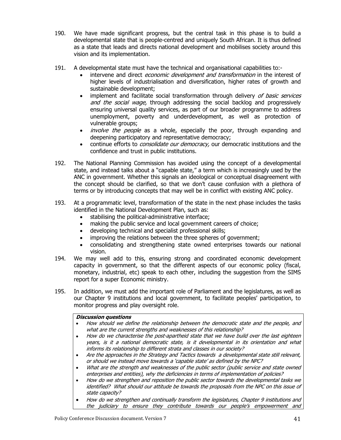- 190. We have made significant progress, but the central task in this phase is to build a developmental state that is people-centred and uniquely South African. It is thus defined as a state that leads and directs national development and mobilises society around this vision and its implementation.
- 191. A developmental state must have the technical and organisational capabilities to:
	- intervene and direct *economic development and transformation* in the interest of higher levels of industrialisation and diversification, higher rates of growth and sustainable development;
	- implement and facilitate social transformation through delivery of basic services and the social wage, through addressing the social backlog and progressively ensuring universal quality services, as part of our broader programme to address unemployment, poverty and underdevelopment, as well as protection of vulnerable groups;
	- *involve the people* as a whole, especially the poor, through expanding and deepening participatory and representative democracy;
	- continue efforts to *consolidate our democracy*, our democratic institutions and the confidence and trust in public institutions.
- 192. The National Planning Commission has avoided using the concept of a developmental state, and instead talks about a "capable state," a term which is increasingly used by the ANC in government. Whether this signals an ideological or conceptual disagreement with the concept should be clarified, so that we don't cause confusion with a plethora of terms or by introducing concepts that may well be in conflict with existing ANC policy.
- 193. At a programmatic level, transformation of the state in the next phase includes the tasks identified in the National Development Plan, such as:
	- stabilising the political-administrative interface;
	- making the public service and local government careers of choice;
	- developing technical and specialist professional skills;
	- improving the relations between the three spheres of government;
	- consolidating and strengthening state owned enterprises towards our national vision.
- 194. We may well add to this, ensuring strong and coordinated economic development capacity in government, so that the different aspects of our economic policy (fiscal, monetary, industrial, etc) speak to each other, including the suggestion from the SIMS report for a super Economic ministry.
- 195. In addition, we must add the important role of Parliament and the legislatures, as well as our Chapter 9 institutions and local government, to facilitate peoples' participation, to monitor progress and play oversight role.

#### **Discussion questions**

- How should we define the relationship between the democratic state and the people, and what are the current strengths and weaknesses of this relationship?
- How do we characterise the post-apartheid state that we have build over the last eighteen years, is it a national democratic state, is it developmental in its orientation and what informs its relationship to different strata and classes in our society?
- Are the approaches in the Strategy and Tactics towards a developmental state still relevant, or should we instead move towards a 'capable state' as defined by the NPC?
- What are the strength and weaknesses of the public sector (public service and state owned enterprises and entities), why the deficiencies in terms of implementation of policies?
- How do we strengthen and reposition the public sector towards the developmental tasks we identified? What should our attitude be towards the proposals from the NPC on this issue of state capacity?
- How do we strengthen and continually transform the legislatures, Chapter 9 institutions and the judiciary to ensure they contribute towards our people's empowerment and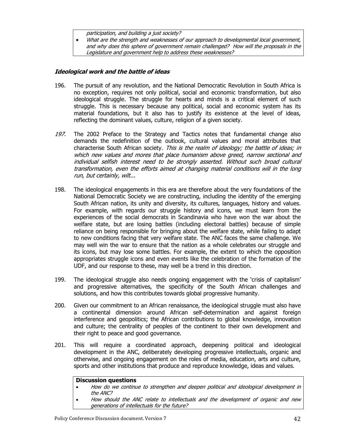participation, and building a just society?

What are the strength and weaknesses of our approach to developmental local government, and why does this sphere of government remain challenged? How will the proposals in the Legislature and government help to address these weaknesses?

#### **Ideological work and the battle of ideas**

- 196. The pursuit of any revolution, and the National Democratic Revolution in South Africa is no exception, requires not only political, social and economic transformation, but also ideological struggle. The struggle for hearts and minds is a critical element of such struggle. This is necessary because any political, social and economic system has its material foundations, but it also has to justify its existence at the level of ideas, reflecting the dominant values, culture, religion of a given society.
- 197. The 2002 Preface to the Strategy and Tactics notes that fundamental change also demands the redefinition of the outlook, cultural values and moral attributes that characterise South African society. This is the realm of ideology; the battle of ideas; in which new values and mores that place humanism above greed, narrow sectional and individual selfish interest need to be strongly asserted. Without such broad cultural transformation, even the efforts aimed at changing material conditions will in the long run, but certainly, wilt...
- 198. The ideological engagements in this era are therefore about the very foundations of the National Democratic Society we are constructing, including the identity of the emerging South African nation, its unity and diversity, its cultures, languages, history and values. For example, with regards our struggle history and icons, we must learn from the experiences of the social democrats in Scandinavia who have won the war about the welfare state, but are losing battles (including electoral battles) because of simple reliance on being responsible for bringing about the welfare state, while failing to adapt to new conditions facing that very welfare state. The ANC faces the same challenge. We may well win the war to ensure that the nation as a whole celebrates our struggle and its icons, but may lose some battles. For example, the extent to which the opposition appropriates struggle icons and even events like the celebration of the formation of the UDF, and our response to these, may well be a trend in this direction.
- 199. The ideological struggle also needs ongoing engagement with the 'crisis of capitalism' and progressive alternatives, the specificity of the South African challenges and solutions, and how this contributes towards global progressive humanity.
- 200. Given our commitment to an African renaissance, the ideological struggle must also have a continental dimension around African self-determination and against foreign interference and geopolitics; the African contributions to global knowledge, innovation and culture; the centrality of peoples of the continent to their own development and their right to peace and good governance.
- 201. This will require a coordinated approach, deepening political and ideological development in the ANC, deliberately developing progressive intellectuals, organic and otherwise, and ongoing engagement on the roles of media, education, arts and culture, sports and other institutions that produce and reproduce knowledge, ideas and values.

#### **Discussion questions**

- How do we continue to strengthen and deepen political and ideological development in the ANC?
- How should the ANC relate to intellectuals and the development of organic and new generations of intellectuals for the future?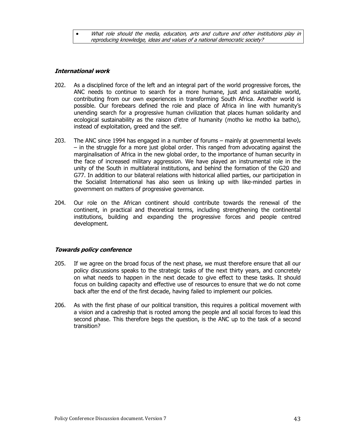• What role should the media, education, arts and culture and other institutions play in reproducing knowledge, ideas and values of a national democratic society?

#### **International work**

- 202. As a disciplined force of the left and an integral part of the world progressive forces, the ANC needs to continue to search for a more humane, just and sustainable world, contributing from our own experiences in transforming South Africa. Another world is possible. Our forebears defined the role and place of Africa in line with humanity's unending search for a progressive human civilization that places human solidarity and ecological sustainability as the raison d'etre of humanity (motho ke motho ka batho), instead of exploitation, greed and the self.
- 203. The ANC since 1994 has engaged in a number of forums mainly at governmental levels – in the struggle for a more just global order. This ranged from advocating against the marginalisation of Africa in the new global order, to the importance of human security in the face of increased military aggression. We have played an instrumental role in the unity of the South in multilateral institutions, and behind the formation of the G20 and G77. In addition to our bilateral relations with historical allied parties, our participation in the Socialist International has also seen us linking up with like-minded parties in government on matters of progressive governance.
- 204. Our role on the African continent should contribute towards the renewal of the continent, in practical and theoretical terms, including strengthening the continental institutions, building and expanding the progressive forces and people centred development.

#### **Towards policy conference**

- 205. If we agree on the broad focus of the next phase, we must therefore ensure that all our policy discussions speaks to the strategic tasks of the next thirty years, and concretely on what needs to happen in the next decade to give effect to these tasks. It should focus on building capacity and effective use of resources to ensure that we do not come back after the end of the first decade, having failed to implement our policies.
- 206. As with the first phase of our political transition, this requires a political movement with a vision and a cadreship that is rooted among the people and all social forces to lead this second phase. This therefore begs the question, is the ANC up to the task of a second transition?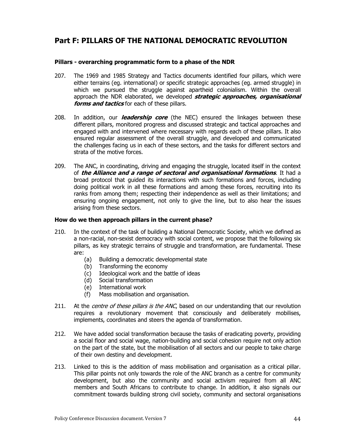# **Part F: PILLARS OF THE NATIONAL DEMOCRATIC REVOLUTION**

#### **Pillars - overarching programmatic form to a phase of the NDR**

- 207. The 1969 and 1985 Strategy and Tactics documents identified four pillars, which were either terrains (eg. international) or specific strategic approaches (eg. armed struggle) in which we pursued the struggle against apartheid colonialism. Within the overall approach the NDR elaborated, we developed **strategic approaches, organisational forms and tactics** for each of these pillars.
- 208. In addition, our **leadership core** (the NEC) ensured the linkages between these different pillars, monitored progress and discussed strategic and tactical approaches and engaged with and intervened where necessary with regards each of these pillars. It also ensured regular assessment of the overall struggle, and developed and communicated the challenges facing us in each of these sectors, and the tasks for different sectors and strata of the motive forces.
- 209. The ANC, in coordinating, driving and engaging the struggle, located itself in the context of **the Alliance and a range of sectoral and organisational formations**. It had a broad protocol that guided its interactions with such formations and forces, including doing political work in all these formations and among these forces, recruiting into its ranks from among them; respecting their independence as well as their limitations; and ensuring ongoing engagement, not only to give the line, but to also hear the issues arising from these sectors.

#### **How do we then approach pillars in the current phase?**

- 210. In the context of the task of building a National Democratic Society, which we defined as a non-racial, non-sexist democracy with social content, we propose that the following six pillars, as key strategic terrains of struggle and transformation, are fundamental. These are:
	- (a) Building a democratic developmental state
	- (b) Transforming the economy
	- (c) Ideological work and the battle of ideas
	- (d) Social transformation
	- (e) International work
	- (f) Mass mobilisation and organisation.
- 211. At the *centre of these pillars is the ANC*, based on our understanding that our revolution requires a revolutionary movement that consciously and deliberately mobilises, implements, coordinates and steers the agenda of transformation.
- 212. We have added social transformation because the tasks of eradicating poverty, providing a social floor and social wage, nation-building and social cohesion require not only action on the part of the state, but the mobilisation of all sectors and our people to take charge of their own destiny and development.
- 213. Linked to this is the addition of mass mobilisation and organisation as a critical pillar. This pillar points not only towards the role of the ANC branch as a centre for community development, but also the community and social activism required from all ANC members and South Africans to contribute to change. In addition, it also signals our commitment towards building strong civil society, community and sectoral organisations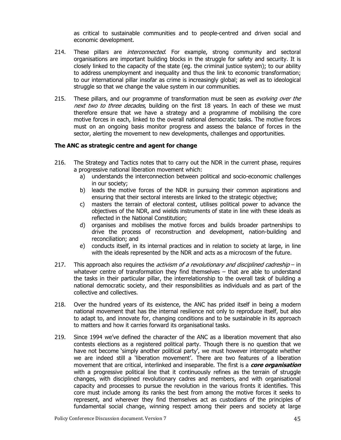as critical to sustainable communities and to people-centred and driven social and economic development.

- 214. These pillars are *interconnected*. For example, strong community and sectoral organisations are important building blocks in the struggle for safety and security. It is closely linked to the capacity of the state (eg. the criminal justice system); to our ability to address unemployment and inequality and thus the link to economic transformation; to our international pillar insofar as crime is increasingly global; as well as to ideological struggle so that we change the value system in our communities.
- 215. These pillars, and our programme of transformation must be seen as *evolving over the* next two to three decades, building on the first 18 years. In each of these we must therefore ensure that we have a strategy and a programme of mobilising the core motive forces in each, linked to the overall national democratic tasks. The motive forces must on an ongoing basis monitor progress and assess the balance of forces in the sector, alerting the movement to new developments, challenges and opportunities.

#### **The ANC as strategic centre and agent for change**

- 216. The Strategy and Tactics notes that to carry out the NDR in the current phase, requires a progressive national liberation movement which:
	- a) understands the interconnection between political and socio-economic challenges in our society;
	- b) leads the motive forces of the NDR in pursuing their common aspirations and ensuring that their sectoral interests are linked to the strategic objective;
	- c) masters the terrain of electoral contest, utilises political power to advance the objectives of the NDR, and wields instruments of state in line with these ideals as reflected in the National Constitution;
	- d) organises and mobilises the motive forces and builds broader partnerships to drive the process of reconstruction and development, nation-building and reconciliation; and
	- e) conducts itself, in its internal practices and in relation to society at large, in line with the ideals represented by the NDR and acts as a microcosm of the future.
- 217. This approach also requires the *activism of a revolutionary and disciplined cadreship* in whatever centre of transformation they find themselves – that are able to understand the tasks in their particular pillar, the interrelationship to the overall task of building a national democratic society, and their responsibilities as individuals and as part of the collective and collectives.
- 218. Over the hundred years of its existence, the ANC has prided itself in being a modern national movement that has the internal resilience not only to reproduce itself, but also to adapt to, and innovate for, changing conditions and to be sustainable in its approach to matters and how it carries forward its organisational tasks.
- 219. Since 1994 we've defined the character of the ANC as a liberation movement that also contests elections as a registered political party. Though there is no question that we have not become 'simply another political party', we must however interrogate whether we are indeed still a 'liberation movement'. There are two features of a liberation movement that are critical, interlinked and inseparable. The first is a **core organisation** with a progressive political line that it continuously refines as the terrain of struggle changes, with disciplined revolutionary cadres and members, and with organisational capacity and processes to pursue the revolution in the various fronts it identifies. This core must include among its ranks the best from among the motive forces it seeks to represent, and wherever they find themselves act as custodians of the principles of fundamental social change, winning respect among their peers and society at large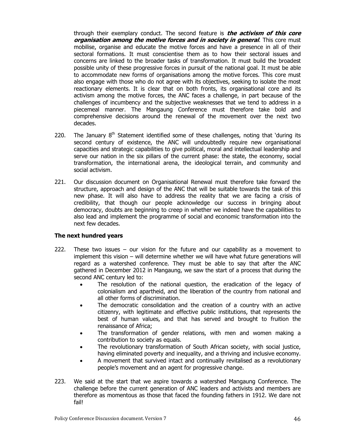through their exemplary conduct. The second feature is **the activism of this core organisation among the motive forces and in society in general**. This core must mobilise, organise and educate the motive forces and have a presence in all of their sectoral formations. It must conscientise them as to how their sectoral issues and concerns are linked to the broader tasks of transformation. It must build the broadest possible unity of these progressive forces in pursuit of the national goal. It must be able to accommodate new forms of organisations among the motive forces. This core must also engage with those who do not agree with its objectives, seeking to isolate the most reactionary elements. It is clear that on both fronts, its organisational core and its activism among the motive forces, the ANC faces a challenge, in part because of the challenges of incumbency and the subjective weaknesses that we tend to address in a piecemeal manner. The Mangaung Conference must therefore take bold and comprehensive decisions around the renewal of the movement over the next two decades.

- 220. The January  $8<sup>th</sup>$  Statement identified some of these challenges, noting that 'during its second century of existence, the ANC will undoubtedly require new organisational capacities and strategic capabilities to give political, moral and intellectual leadership and serve our nation in the six pillars of the current phase: the state, the economy, social transformation, the international arena, the ideological terrain, and community and social activism.
- 221. Our discussion document on Organisational Renewal must therefore take forward the structure, approach and design of the ANC that will be suitable towards the task of this new phase. It will also have to address the reality that we are facing a crisis of credibility, that though our people acknowledge our success in bringing about democracy, doubts are beginning to creep in whether we indeed have the capabilities to also lead and implement the programme of social and economic transformation into the next few decades.

#### **The next hundred years**

- 222. These two issues our vision for the future and our capability as a movement to implement this vision – will determine whether we will have what future generations will regard as a watershed conference. They must be able to say that after the ANC gathered in December 2012 in Mangaung, we saw the start of a process that during the second ANC century led to:
	- The resolution of the national question, the eradication of the legacy of colonialism and apartheid, and the liberation of the country from national and all other forms of discrimination.
	- The democratic consolidation and the creation of a country with an active citizenry, with legitimate and effective public institutions, that represents the best of human values, and that has served and brought to fruition the renaissance of Africa;
	- The transformation of gender relations, with men and women making a contribution to society as equals.
	- The revolutionary transformation of South African society, with social justice, having eliminated poverty and inequality, and a thriving and inclusive economy.
	- A movement that survived intact and continually revitalised as a revolutionary people's movement and an agent for progressive change.
- 223. We said at the start that we aspire towards a watershed Mangaung Conference. The challenge before the current generation of ANC leaders and activists and members are therefore as momentous as those that faced the founding fathers in 1912. We dare not fail!